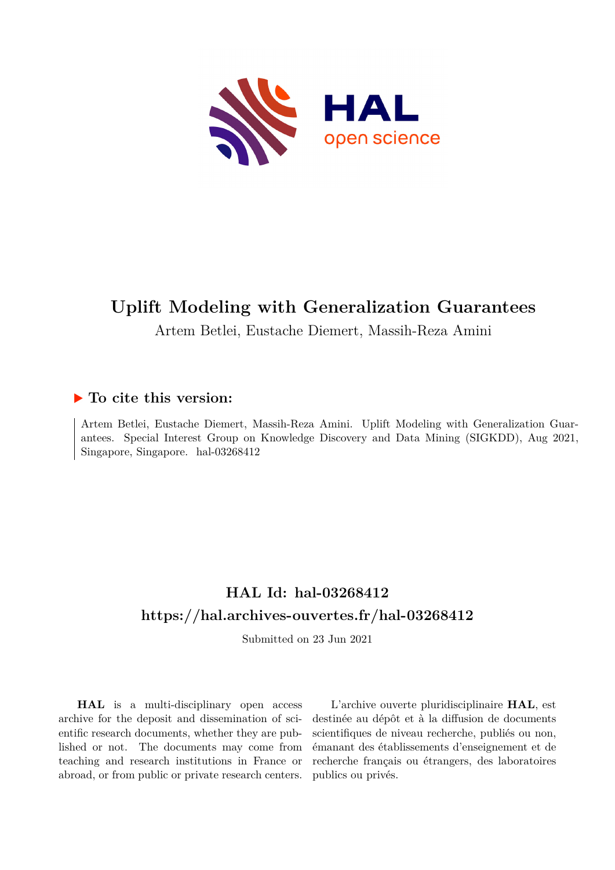

## **Uplift Modeling with Generalization Guarantees**

Artem Betlei, Eustache Diemert, Massih-Reza Amini

### **To cite this version:**

Artem Betlei, Eustache Diemert, Massih-Reza Amini. Uplift Modeling with Generalization Guarantees. Special Interest Group on Knowledge Discovery and Data Mining (SIGKDD), Aug 2021, Singapore, Singapore. hal-03268412

## **HAL Id: hal-03268412 <https://hal.archives-ouvertes.fr/hal-03268412>**

Submitted on 23 Jun 2021

**HAL** is a multi-disciplinary open access archive for the deposit and dissemination of scientific research documents, whether they are published or not. The documents may come from teaching and research institutions in France or abroad, or from public or private research centers.

L'archive ouverte pluridisciplinaire **HAL**, est destinée au dépôt et à la diffusion de documents scientifiques de niveau recherche, publiés ou non, émanant des établissements d'enseignement et de recherche français ou étrangers, des laboratoires publics ou privés.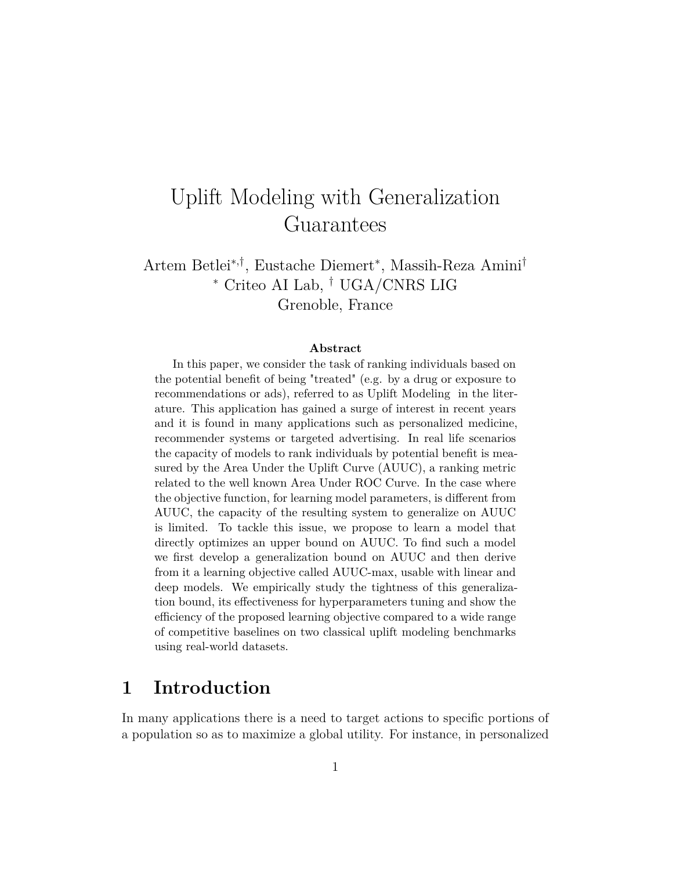# Uplift Modeling with Generalization Guarantees

Artem Betlei*<sup>∗</sup>,†* , Eustache Diemert*<sup>∗</sup>* , Massih-Reza Amini*† <sup>∗</sup>* Criteo AI Lab, *†* UGA/CNRS LIG Grenoble, France

#### **Abstract**

In this paper, we consider the task of ranking individuals based on the potential benefit of being "treated" (e.g. by a drug or exposure to recommendations or ads), referred to as Uplift Modeling in the literature. This application has gained a surge of interest in recent years and it is found in many applications such as personalized medicine, recommender systems or targeted advertising. In real life scenarios the capacity of models to rank individuals by potential benefit is measured by the Area Under the Uplift Curve (AUUC), a ranking metric related to the well known Area Under ROC Curve. In the case where the objective function, for learning model parameters, is different from AUUC, the capacity of the resulting system to generalize on AUUC is limited. To tackle this issue, we propose to learn a model that directly optimizes an upper bound on AUUC. To find such a model we first develop a generalization bound on AUUC and then derive from it a learning objective called AUUC-max, usable with linear and deep models. We empirically study the tightness of this generalization bound, its effectiveness for hyperparameters tuning and show the efficiency of the proposed learning objective compared to a wide range of competitive baselines on two classical uplift modeling benchmarks using real-world datasets.

## **1 Introduction**

In many applications there is a need to target actions to specific portions of a population so as to maximize a global utility. For instance, in personalized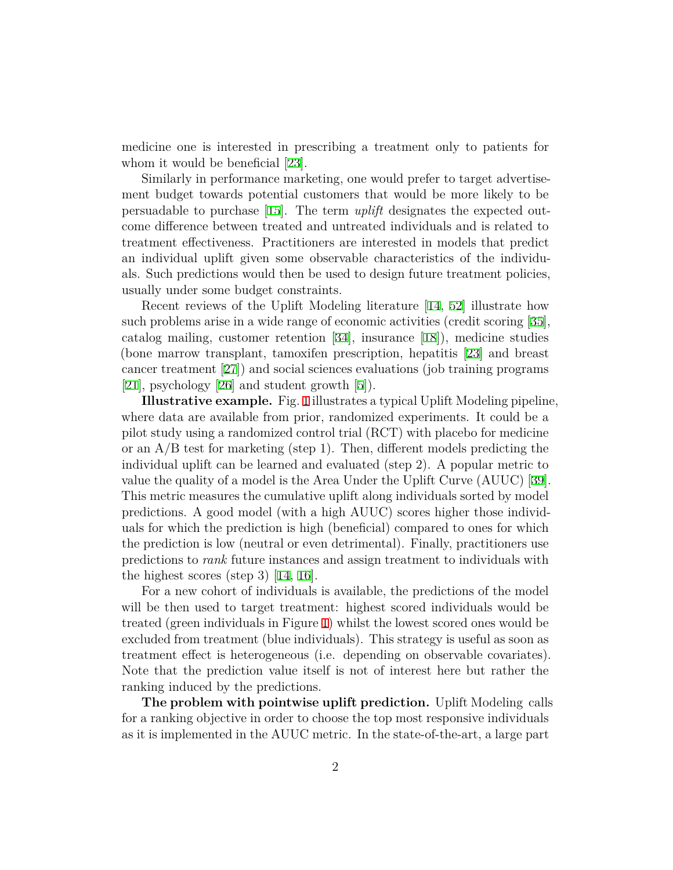medicine one is interested in prescribing a treatment only to patients for whom it would be beneficial [23].

Similarly in performance marketing, one would prefer to target advertisement budget towards potential customers that would be more likely to be persuadable to purchase [15]. The term *uplift* designates the expected outcome difference between treated and untreated individuals and is related to treatment effectiveness. Practitioners are interested in models that predict an individual uplift given some observable characteristics of the individuals. Such predictions would then be used to design future treatment policies, usually under some budget constraints.

Recent reviews of the Uplift Modeling literature [14, 52] illustrate how such problems arise in a wide range of economic activities (credit scoring [35], catalog mailing, customer retention [34], insurance [18]), medicine studies (bone marrow transplant, tamoxifen prescription, hepatitis [23] and breast cancer treatment [27]) and social sciences evaluations (job training programs [21], psychology [26] and student growth [5]).

**Illustrative example.** Fig. 1 illustrates a typical Uplift Modeling pipeline, where data are available from prior, randomized experiments. It could be a pilot study using a randomized control trial (RCT) with placebo for medicine or an  $A/B$  test for marketing (step 1). Then, different models predicting the individual uplift can be learned and evaluated (step 2). A popular metric to value the quality of a model is the Area Under the Uplift Curve (AUUC) [39]. This metric measures the cumulative uplift along individuals sorted by model predictions. A good model (with a high AUUC) scores higher those individuals for which the prediction is high (beneficial) compared to ones for which the prediction is low (neutral or even detrimental). Finally, practitioners use predictions to *rank* future instances and assign treatment to individuals with the highest scores (step 3) [14, 16].

For a new cohort of individuals is available, the predictions of the model will be then used to target treatment: highest scored individuals would be treated (green individuals in Figure 1) whilst the lowest scored ones would be excluded from treatment (blue individuals). This strategy is useful as soon as treatment effect is heterogeneous (i.e. depending on observable covariates). Note that the prediction value itself is not of interest here but rather the ranking induced by the predictions.

**The problem with pointwise uplift prediction.** Uplift Modeling calls for a ranking objective in order to choose the top most responsive individuals as it is implemented in the AUUC metric. In the state-of-the-art, a large part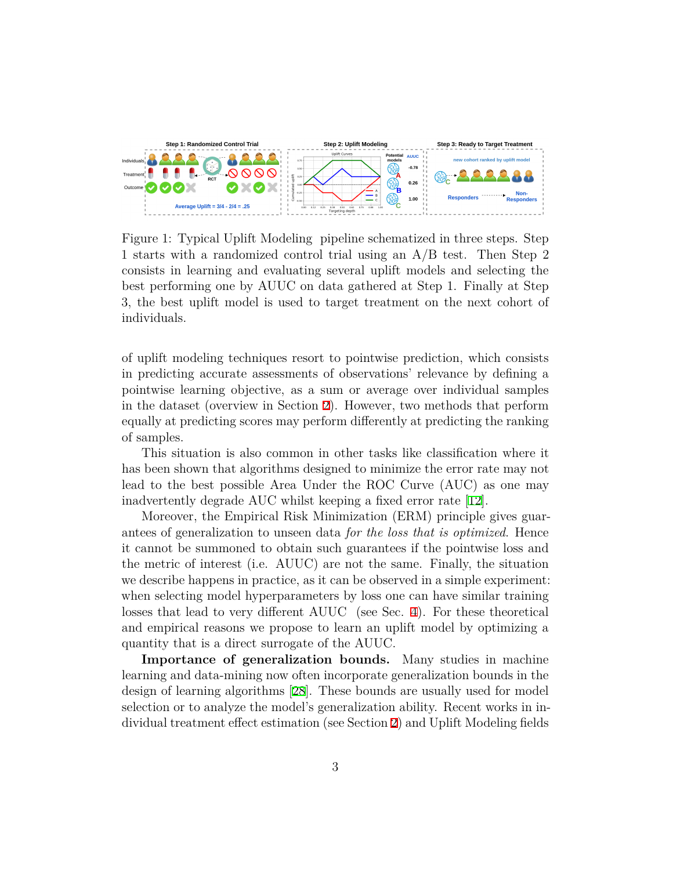

Figure 1: Typical Uplift Modeling pipeline schematized in three steps. Step 1 starts with a randomized control trial using an A/B test. Then Step 2 consists in learning and evaluating several uplift models and selecting the best performing one by AUUC on data gathered at Step 1. Finally at Step 3, the best uplift model is used to target treatment on the next cohort of individuals.

of uplift modeling techniques resort to pointwise prediction, which consists in predicting accurate assessments of observations' relevance by defining a pointwise learning objective, as a sum or average over individual samples in the dataset (overview in Section 2). However, two methods that perform equally at predicting scores may perform differently at predicting the ranking of samples.

This situation is also common in other tasks like classification where it has been shown that algorithms designed to minimize the error rate may not lead to the best possible Area Under the ROC Curve (AUC) as one may inadvertently degrade AUC whilst keeping a fixed error rate [12].

Moreover, the Empirical Risk Minimization (ERM) principle gives guarantees of generalization to unseen data *for the loss that is optimized*. Hence it cannot be summoned to obtain such guarantees if the pointwise loss and the metric of interest (i.e. AUUC) are not the same. Finally, the situation we describe happens in practice, as it can be observed in a simple experiment: when selecting model hyperparameters by loss one can have similar training losses that lead to very different AUUC (see Sec. 4). For these theoretical and empirical reasons we propose to learn an uplift model by optimizing a quantity that is a direct surrogate of the AUUC.

**Importance of generalization bounds.** Many studies in machine learning and data-mining now often incorporate generalization bounds in the design of learning algorithms [28]. These bounds are usually used for model selection or to analyze the model's generalization ability. Recent works in individual treatment effect estimation (see Section 2) and Uplift Modeling fields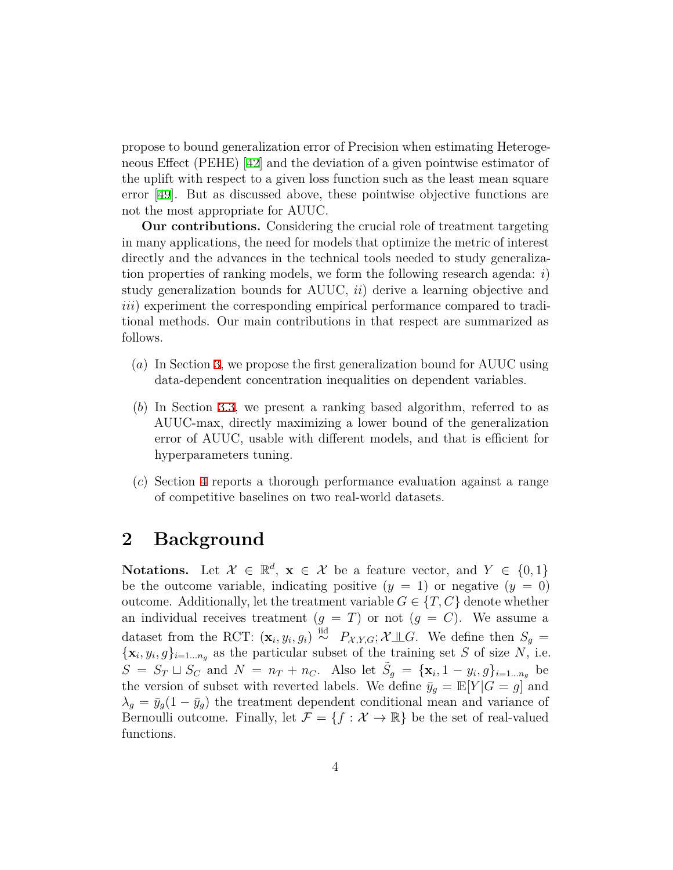propose to bound generalization error of Precision when estimating Heterogeneous Effect (PEHE) [42] and the deviation of a given pointwise estimator of the uplift with respect to a given loss function such as the least mean square error [49]. But as discussed above, these pointwise objective functions are not the most appropriate for AUUC.

**Our contributions.** Considering the crucial role of treatment targeting in many applications, the need for models that optimize the metric of interest directly and the advances in the technical tools needed to study generalization properties of ranking models, we form the following research agenda: *i*) study generalization bounds for AUUC, *ii*) derive a learning objective and *iii*) experiment the corresponding empirical performance compared to traditional methods. Our main contributions in that respect are summarized as follows.

- (*a*) In Section 3, we propose the first generalization bound for AUUC using data-dependent concentration inequalities on dependent variables.
- (*b*) In Section 3.3, we present a ranking based algorithm, referred to as AUUC-max, directly maximizing a lower bound of the generalization error of AUUC, usable with different models, and that is efficient for hyperparameters tuning.
- (*c*) Section 4 reports a thorough performance evaluation against a range of competitive baselines on two real-world datasets.

## **2 Background**

**Notations.** Let  $\mathcal{X} \in \mathbb{R}^d$ ,  $\mathbf{x} \in \mathcal{X}$  be a feature vector, and  $Y \in \{0,1\}$ be the outcome variable, indicating positive  $(y = 1)$  or negative  $(y = 0)$ outcome. Additionally, let the treatment variable  $G \in \{T, C\}$  denote whether an individual receives treatment  $(g = T)$  or not  $(g = C)$ . We assume a dataset from the RCT:  $(\mathbf{x}_i, y_i, g_i) \stackrel{\text{iid}}{\sim} P_{\mathcal{X}, Y, G}; \mathcal{X} \perp \!\!\! \perp G$ . We define then  $S_g =$  ${\bf x}_i, y_i, g\}_{i=1...n_g}$  as the particular subset of the training set *S* of size *N*, i.e.  $S = S_T \sqcup S_C$  and  $N = n_T + n_C$ . Also let  $\tilde{S}_g = {\mathbf{x}_i, 1 - y_i, g}_{i=1...n_g}$  be the version of subset with reverted labels. We define  $\bar{y}_g = \mathbb{E}[Y|G = g]$  and  $\lambda_g = \bar{y}_g(1 - \bar{y}_g)$  the treatment dependent conditional mean and variance of Bernoulli outcome. Finally, let  $\mathcal{F} = \{f : \mathcal{X} \to \mathbb{R}\}$  be the set of real-valued functions.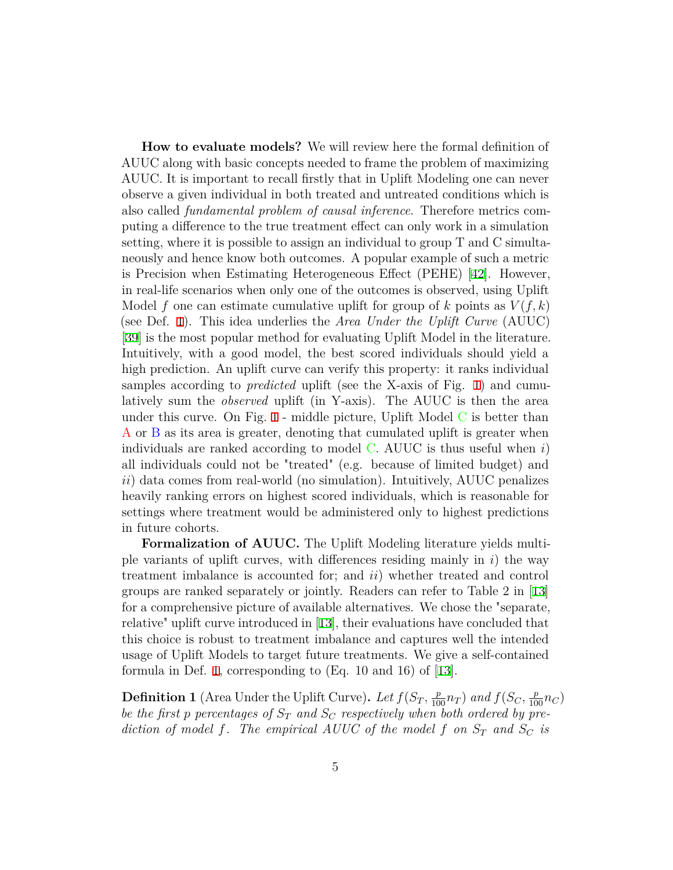**How to evaluate models?** We will review here the formal definition of AUUC along with basic concepts needed to frame the problem of maximizing AUUC. It is important to recall firstly that in Uplift Modeling one can never observe a given individual in both treated and untreated conditions which is also called *fundamental problem of causal inference*. Therefore metrics computing a difference to the true treatment effect can only work in a simulation setting, where it is possible to assign an individual to group T and C simultaneously and hence know both outcomes. A popular example of such a metric is Precision when Estimating Heterogeneous Effect (PEHE) [42]. However, in real-life scenarios when only one of the outcomes is observed, using Uplift Model *f* one can estimate cumulative uplift for group of *k* points as  $V(f, k)$ (see Def. 1). This idea underlies the *Area Under the Uplift Curve* (AUUC) [39] is the most popular method for evaluating Uplift Model in the literature. Intuitively, with a good model, the best scored individuals should yield a high prediction. An uplift curve can verify this property: it ranks individual samples according to *predicted* uplift (see the X-axis of Fig. 1) and cumulatively sum the *observed* uplift (in Y-axis). The AUUC is then the area under this curve. On Fig.  $1$  - middle picture, Uplift Model C is better than A or B as its area is greater, denoting that cumulated uplift is greater when individuals are ranked according to model C. AUUC is thus useful when *i*) all individuals could not be "treated" (e.g. because of limited budget) and *ii*) data comes from real-world (no simulation). Intuitively, AUUC penalizes heavily ranking errors on highest scored individuals, which is reasonable for settings where treatment would be administered only to highest predictions in future cohorts.

**Formalization of AUUC.** The Uplift Modeling literature yields multiple variants of uplift curves, with differences residing mainly in *i*) the way treatment imbalance is accounted for; and *ii*) whether treated and control groups are ranked separately or jointly. Readers can refer to Table 2 in [13] for a comprehensive picture of available alternatives. We chose the "separate, relative" uplift curve introduced in [13], their evaluations have concluded that this choice is robust to treatment imbalance and captures well the intended usage of Uplift Models to target future treatments. We give a self-contained formula in Def. 1, corresponding to (Eq. 10 and 16) of [13].

**Definition 1** (Area Under the Uplift Curve). Let  $f(S_T, \frac{p}{100}n_T)$  and  $f(S_C, \frac{p}{100}n_C)$ *be the first p percentages of*  $S_T$  *and*  $S_C$  *respectively when both ordered by prediction of model f.* The empirical AUUC of the model f on  $S_T$  and  $S_C$  is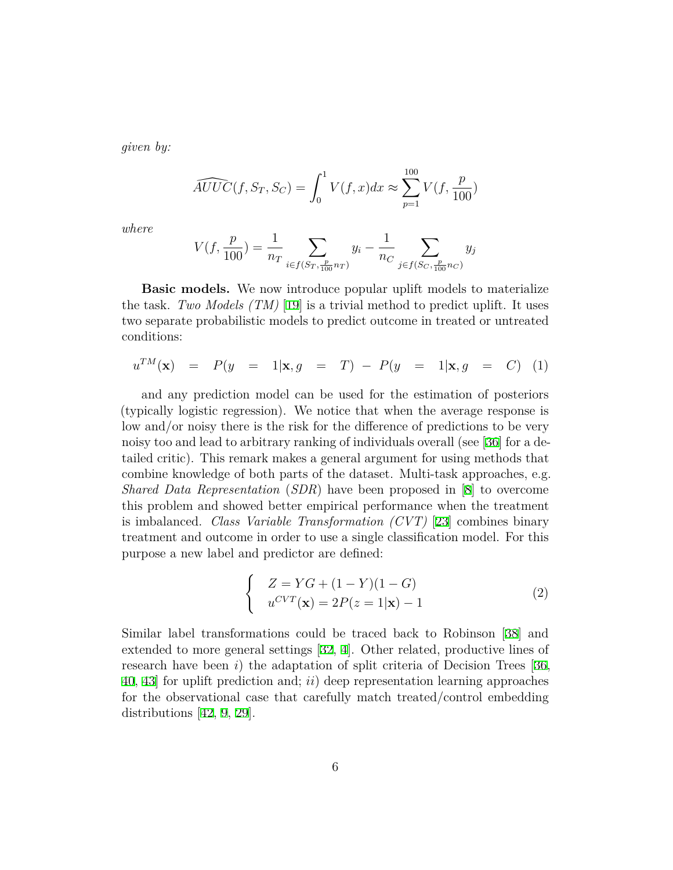*given by:*

$$
\widehat{AUUC}(f, S_T, S_C) = \int_0^1 V(f, x) dx \approx \sum_{p=1}^{100} V(f, \frac{p}{100})
$$

*where*

$$
V(f, \frac{p}{100}) = \frac{1}{n_T} \sum_{i \in f(S_T, \frac{p}{100}n_T)} y_i - \frac{1}{n_C} \sum_{j \in f(S_C, \frac{p}{100}n_C)} y_j
$$

**Basic models.** We now introduce popular uplift models to materialize the task. *Two Models (TM)* [19] is a trivial method to predict uplift. It uses two separate probabilistic models to predict outcome in treated or untreated conditions:

$$
u^{TM}(\mathbf{x}) = P(y = 1 | \mathbf{x}, g = T) - P(y = 1 | \mathbf{x}, g = C)
$$
 (1)

and any prediction model can be used for the estimation of posteriors (typically logistic regression). We notice that when the average response is low and/or noisy there is the risk for the difference of predictions to be very noisy too and lead to arbitrary ranking of individuals overall (see [36] for a detailed critic). This remark makes a general argument for using methods that combine knowledge of both parts of the dataset. Multi-task approaches, e.g. *Shared Data Representation* (*SDR*) have been proposed in [8] to overcome this problem and showed better empirical performance when the treatment is imbalanced. *Class Variable Transformation (CVT)* [23] combines binary treatment and outcome in order to use a single classification model. For this purpose a new label and predictor are defined:

$$
\begin{cases}\nZ = YG + (1 - Y)(1 - G) \\
u^{CVT}(\mathbf{x}) = 2P(z = 1|\mathbf{x}) - 1\n\end{cases}
$$
\n(2)

Similar label transformations could be traced back to Robinson [38] and extended to more general settings [32, 4]. Other related, productive lines of research have been *i*) the adaptation of split criteria of Decision Trees [36, 40, 43] for uplift prediction and; *ii*) deep representation learning approaches for the observational case that carefully match treated/control embedding distributions [42, 9, 29].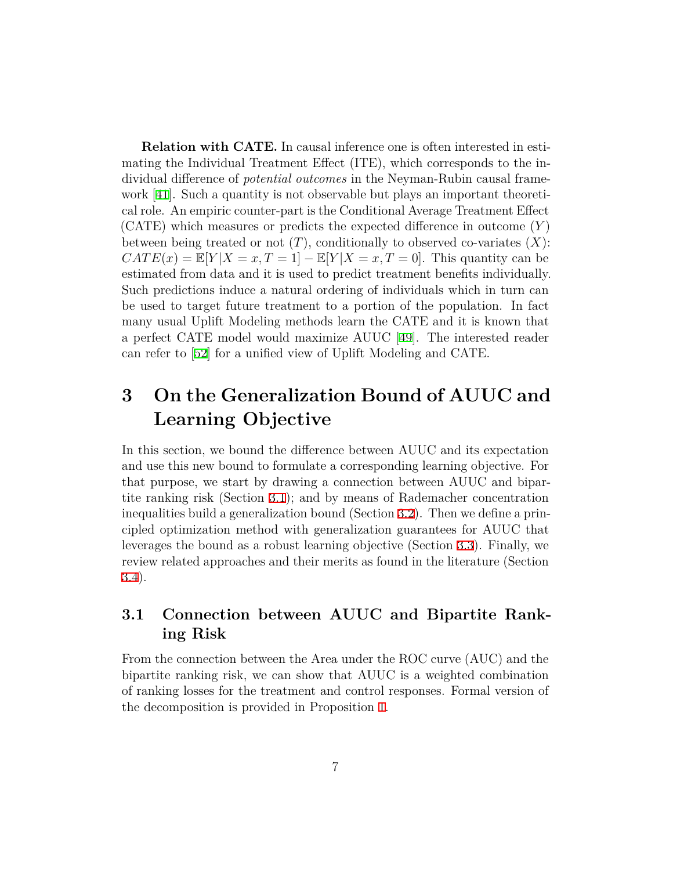**Relation with CATE.** In causal inference one is often interested in estimating the Individual Treatment Effect (ITE), which corresponds to the individual difference of *potential outcomes* in the Neyman-Rubin causal framework [41]. Such a quantity is not observable but plays an important theoretical role. An empiric counter-part is the Conditional Average Treatment Effect (CATE) which measures or predicts the expected difference in outcome (*Y* ) between being treated or not  $(T)$ , conditionally to observed co-variates  $(X)$ :  $CATE(x) = \mathbb{E}[Y|X=x, T=1] - \mathbb{E}[Y|X=x, T=0]$ . This quantity can be estimated from data and it is used to predict treatment benefits individually. Such predictions induce a natural ordering of individuals which in turn can be used to target future treatment to a portion of the population. In fact many usual Uplift Modeling methods learn the CATE and it is known that a perfect CATE model would maximize AUUC [49]. The interested reader can refer to [52] for a unified view of Uplift Modeling and CATE.

## **3 On the Generalization Bound of AUUC and Learning Objective**

In this section, we bound the difference between AUUC and its expectation and use this new bound to formulate a corresponding learning objective. For that purpose, we start by drawing a connection between AUUC and bipartite ranking risk (Section 3.1); and by means of Rademacher concentration inequalities build a generalization bound (Section 3.2). Then we define a principled optimization method with generalization guarantees for AUUC that leverages the bound as a robust learning objective (Section 3.3). Finally, we review related approaches and their merits as found in the literature (Section 3.4).

### **3.1 Connection between AUUC and Bipartite Ranking Risk**

From the connection between the Area under the ROC curve (AUC) and the bipartite ranking risk, we can show that AUUC is a weighted combination of ranking losses for the treatment and control responses. Formal version of the decomposition is provided in Proposition 1.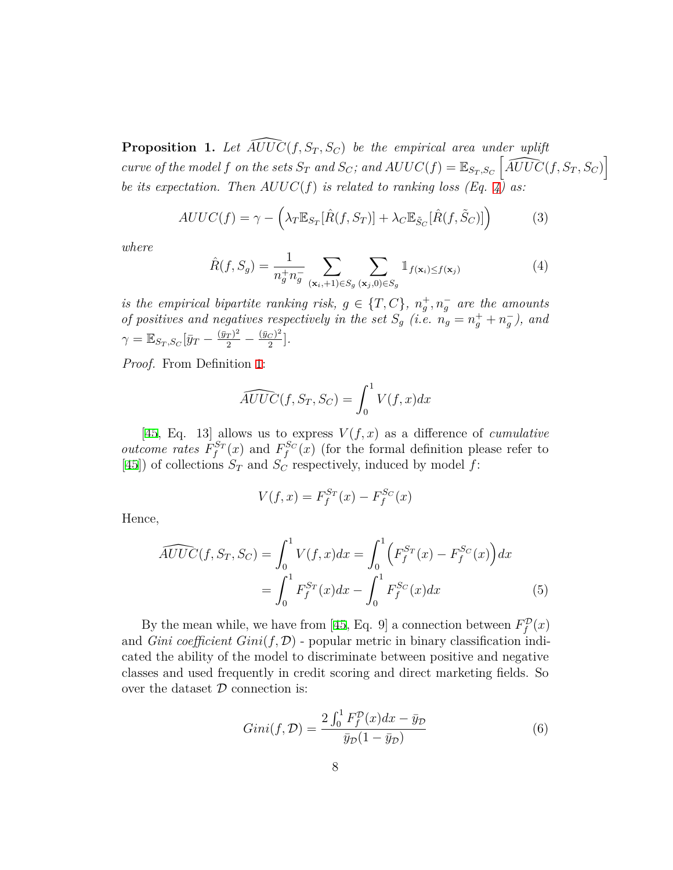**Proposition 1.** Let  $\widehat{AUC}(f, S_T, S_C)$  be the empirical area under uplift curve of the model f on the sets  $S_T$  and  $S_C$ ; and  $AUC(f) = \mathbb{E}_{S_T,S_C} \left[ \widehat{AUC}(f, S_T, S_C) \right]$ *be its expectation. Then*  $AUCC(f)$  *is related to ranking loss (Eq. 4) as:* 

$$
AUUC(f) = \gamma - \left(\lambda_T \mathbb{E}_{S_T}[\hat{R}(f, S_T)] + \lambda_C \mathbb{E}_{\tilde{S}_C}[\hat{R}(f, \tilde{S}_C)]\right)
$$
(3)

*where*

$$
\hat{R}(f, S_g) = \frac{1}{n_g^+ n_g^-} \sum_{(\mathbf{x}_i, +1) \in S_g} \sum_{(\mathbf{x}_j, 0) \in S_g} \mathbb{1}_{f(\mathbf{x}_i) \le f(\mathbf{x}_j)} \tag{4}
$$

*is the empirical bipartite ranking risk,*  $g \in \{T, C\}$ ,  $n_g^+, n_g^-$  are the amounts *of positives and negatives respectively in the set*  $S_g$  (*i.e.*  $n_g = n_g^+ + n_g^-$ ), and  $\gamma = \mathbb{E}_{S_T, S_C}[\bar{y}_T - \frac{(\bar{y}_T)^2}{2} - \frac{(\bar{y}_C)^2}{2}]$  $\frac{C}{2}$ ].

*Proof.* From Definition 1:

$$
\widehat{AUC}(f, S_T, S_C) = \int_0^1 V(f, x) dx
$$

[45, Eq. 13] allows us to express  $V(f, x)$  as a difference of *cumulative outcome rates*  $F_f^{S_T}(x)$  and  $F_f^{S_C}(x)$  (for the formal definition please refer to [45]) of collections  $S_T$  and  $S_C$  respectively, induced by model  $f$ :

$$
V(f, x) = F_f^{S_T}(x) - F_f^{S_C}(x)
$$

Hence,

$$
\widehat{AUUC}(f, S_T, S_C) = \int_0^1 V(f, x) dx = \int_0^1 \left( F_f^{S_T}(x) - F_f^{S_C}(x) \right) dx
$$

$$
= \int_0^1 F_f^{S_T}(x) dx - \int_0^1 F_f^{S_C}(x) dx \tag{5}
$$

By the mean while, we have from [45, Eq. 9] a connection between  $F_f^{\mathcal{D}}(x)$ and *Gini coefficient*  $Gini(f, \mathcal{D})$  - popular metric in binary classification indicated the ability of the model to discriminate between positive and negative classes and used frequently in credit scoring and direct marketing fields. So over the dataset *D* connection is:

$$
Gini(f, \mathcal{D}) = \frac{2\int_0^1 F_f^{\mathcal{D}}(x)dx - \bar{y}_{\mathcal{D}}}{\bar{y}_{\mathcal{D}}(1 - \bar{y}_{\mathcal{D}})}
$$
(6)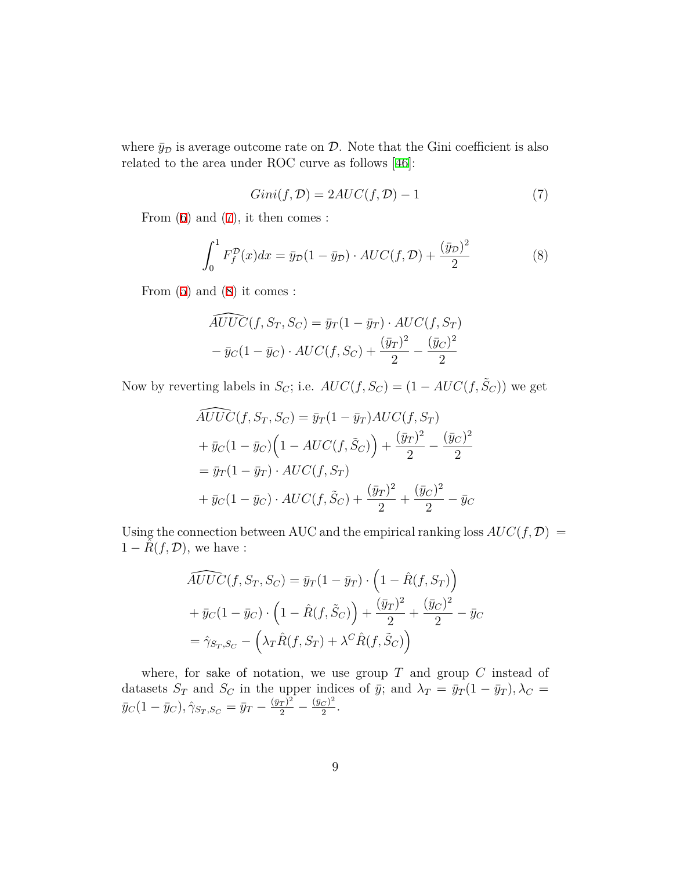where  $\bar{y}_{\mathcal{D}}$  is average outcome rate on  $\mathcal{D}$ . Note that the Gini coefficient is also related to the area under ROC curve as follows [46]:

$$
Gini(f, \mathcal{D}) = 2AUC(f, \mathcal{D}) - 1 \tag{7}
$$

From  $(6)$  and  $(7)$ , it then comes :

$$
\int_0^1 F_f^{\mathcal{D}}(x)dx = \bar{y}_{\mathcal{D}}(1 - \bar{y}_{\mathcal{D}}) \cdot AUC(f, \mathcal{D}) + \frac{(\bar{y}_{\mathcal{D}})^2}{2}
$$
(8)

From  $(5)$  and  $(8)$  it comes :

$$
\widehat{AUC}(f, S_T, S_C) = \bar{y}_T(1 - \bar{y}_T) \cdot AUC(f, S_T)
$$

$$
-\bar{y}_C(1 - \bar{y}_C) \cdot AUC(f, S_C) + \frac{(\bar{y}_T)^2}{2} - \frac{(\bar{y}_C)^2}{2}
$$

Now by reverting labels in  $S_C$ ; i.e.  $AUC(f, S_C) = (1 - AUC(f, \tilde{S}_C))$  we get

$$
\begin{aligned}\n\widetilde{A}UUC(f, S_T, S_C) &= \bar{y}_T(1 - \bar{y}_T)AUC(f, S_T) \\
&+ \bar{y}_C(1 - \bar{y}_C)\left(1 - AUC(f, \tilde{S}_C)\right) + \frac{(\bar{y}_T)^2}{2} - \frac{(\bar{y}_C)^2}{2} \\
&= \bar{y}_T(1 - \bar{y}_T) \cdot AUC(f, S_T) \\
&+ \bar{y}_C(1 - \bar{y}_C) \cdot AUC(f, \tilde{S}_C) + \frac{(\bar{y}_T)^2}{2} + \frac{(\bar{y}_C)^2}{2} - \bar{y}_C\n\end{aligned}
$$

Using the connection between AUC and the empirical ranking loss  $AUC(f, \mathcal{D}) =$  $1 - \hat{R}(f, \mathcal{D})$ , we have :

$$
\widehat{AUC}(f, S_T, S_C) = \bar{y}_T (1 - \bar{y}_T) \cdot \left(1 - \hat{R}(f, S_T)\right)
$$

$$
+ \bar{y}_C (1 - \bar{y}_C) \cdot \left(1 - \hat{R}(f, \tilde{S}_C)\right) + \frac{(\bar{y}_T)^2}{2} + \frac{(\bar{y}_C)^2}{2} - \bar{y}_C
$$

$$
= \hat{\gamma}_{S_T, S_C} - \left(\lambda_T \hat{R}(f, S_T) + \lambda^C \hat{R}(f, \tilde{S}_C)\right)
$$

where, for sake of notation, we use group *T* and group *C* instead of datasets  $S_T$  and  $S_C$  in the upper indices of  $\bar{y}$ ; and  $\lambda_T = \bar{y}_T(1 - \bar{y}_T), \lambda_C =$  $\bar{y}_C(1 - \bar{y}_C), \hat{\gamma}_{S_T, S_C} = \bar{y}_T - \frac{(\bar{y}_T)^2}{2} - \frac{(\bar{y}_C)^2}{2}$  $\frac{C}{2}$ .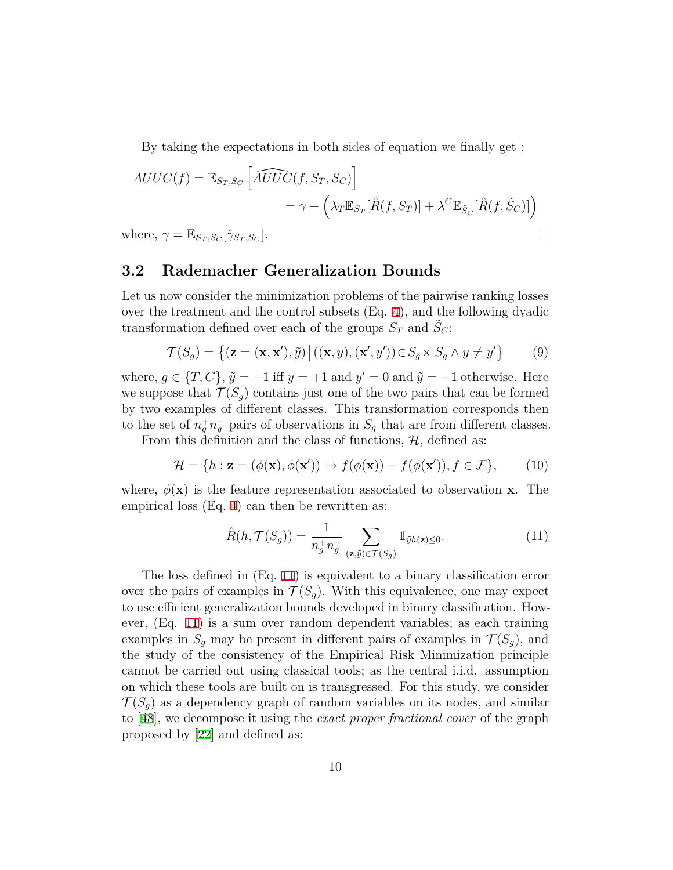By taking the expectations in both sides of equation we finally get :

$$
AUC(f) = \mathbb{E}_{S_T, S_C} \left[ \widehat{AUC}(f, S_T, S_C) \right]
$$
  
=  $\gamma - \left( \lambda_T \mathbb{E}_{S_T} [\hat{R}(f, S_T)] + \lambda^C \mathbb{E}_{\tilde{S}_C} [\hat{R}(f, \tilde{S}_C)] \right)$   
here,  $\gamma = \mathbb{E}_{S_T, S_C} [\hat{\gamma}_{S_T, S_C}].$ 

where,  $\gamma = \mathbb{E}_{S_T, S_C}[\hat{\gamma}_{S_T, S_C}].$ 

#### **3.2 Rademacher Generalization Bounds**

Let us now consider the minimization problems of the pairwise ranking losses over the treatment and the control subsets (Eq. 4), and the following dyadic transformation defined over each of the groups  $S_T$  and  $\tilde{S}_C$ :

$$
\mathcal{T}(S_g) = \{ (\mathbf{z} = (\mathbf{x}, \mathbf{x}'), \tilde{y}) \, | \, ((\mathbf{x}, y), (\mathbf{x}', y')) \in S_g \times S_g \land y \neq y' \}
$$
(9)

where,  $g \in \{T, C\}$ ,  $\tilde{y} = +1$  iff  $y = +1$  and  $y' = 0$  and  $\tilde{y} = -1$  otherwise. Here we suppose that  $\mathcal{T}(S_q)$  contains just one of the two pairs that can be formed by two examples of different classes. This transformation corresponds then to the set of  $n_g^+ n_g^-$  pairs of observations in  $S_g$  that are from different classes.

From this definition and the class of functions,  $H$ , defined as:

$$
\mathcal{H} = \{ h : \mathbf{z} = (\phi(\mathbf{x}), \phi(\mathbf{x}')) \mapsto f(\phi(\mathbf{x})) - f(\phi(\mathbf{x}')), f \in \mathcal{F} \},\qquad(10)
$$

where,  $\phi(\mathbf{x})$  is the feature representation associated to observation **x**. The empirical loss (Eq. 4) can then be rewritten as:

$$
\hat{R}(h,\mathcal{T}(S_g)) = \frac{1}{n_g^+ n_g^-} \sum_{(\mathbf{z},\tilde{y}) \in \mathcal{T}(S_g)} \mathbb{1}_{\tilde{y}h(\mathbf{z}) \le 0}.
$$
\n(11)

The loss defined in (Eq. 11) is equivalent to a binary classification error over the pairs of examples in  $\mathcal{T}(S_q)$ . With this equivalence, one may expect to use efficient generalization bounds developed in binary classification. However, (Eq. 11) is a sum over random dependent variables; as each training examples in  $S_q$  may be present in different pairs of examples in  $\mathcal{T}(S_q)$ , and the study of the consistency of the Empirical Risk Minimization principle cannot be carried out using classical tools; as the central i.i.d. assumption on which these tools are built on is transgressed. For this study, we consider  $\mathcal{T}(S_q)$  as a dependency graph of random variables on its nodes, and similar to [48], we decompose it using the *exact proper fractional cover* of the graph proposed by [22] and defined as: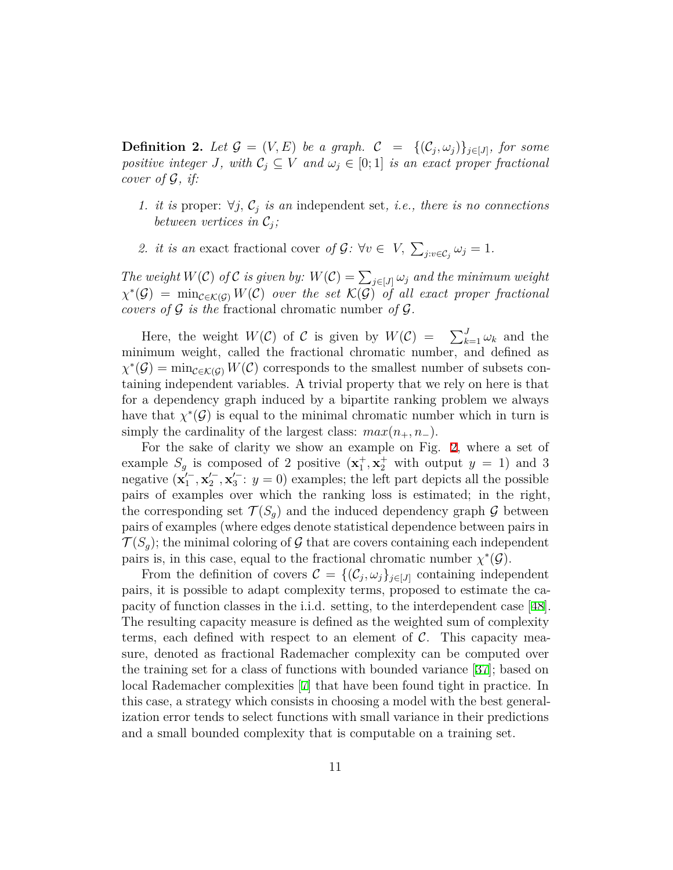**Definition 2.** Let  $\mathcal{G} = (V, E)$  be a graph.  $\mathcal{C} = \{(\mathcal{C}_j, \omega_j)\}_{j \in [J]},$  for some *positive integer J, with*  $C_i \subseteq V$  *and*  $\omega_i \in [0; 1]$  *is an exact proper fractional cover of G, if:*

- *1. it is* proper: *∀j, C<sup>j</sup> is an* independent set*, i.e., there is no connections between vertices in*  $C_j$ ;
- 2. *it is an* exact fractional cover *of*  $\mathcal{G}: \forall v \in V$ ,  $\sum_{j:v \in C_j} \omega_j = 1$ .

*The weight*  $W(C)$  *of*  $C$  *is given by:*  $W(C) = \sum_{j \in [J]} \omega_j$  *and the minimum weight*  $\chi^*(\mathcal{G}) = \min_{\mathcal{C} \in \mathcal{K}(\mathcal{G})} W(\mathcal{C})$  *over the set*  $\mathcal{K}(\mathcal{G})$  *of all exact proper fractional covers of*  $\mathcal G$  *is the* fractional chromatic number of  $\mathcal G$ *.* 

Here, the weight  $W(C)$  of *C* is given by  $W(C) = \sum_{k=1}^{J} \omega_k$  and the minimum weight, called the fractional chromatic number, and defined as  $\chi^*(\mathcal{G}) = \min_{\mathcal{C} \in \mathcal{K}(\mathcal{G})} W(\mathcal{C})$  corresponds to the smallest number of subsets containing independent variables. A trivial property that we rely on here is that for a dependency graph induced by a bipartite ranking problem we always have that  $\chi^*(\mathcal{G})$  is equal to the minimal chromatic number which in turn is simply the cardinality of the largest class:  $max(n_+, n_-)$ .

For the sake of clarity we show an example on Fig. 2, where a set of example  $S_g$  is composed of 2 positive  $(\mathbf{x}_1^+, \mathbf{x}_2^+)$  with output  $y = 1$ ) and 3 negative  $(\mathbf{x}'_1^-, \mathbf{x}'_2^-, \mathbf{x}'_3^-; y = 0)$  examples; the left part depicts all the possible pairs of examples over which the ranking loss is estimated; in the right, the corresponding set  $\mathcal{T}(S_q)$  and the induced dependency graph  $\mathcal G$  between pairs of examples (where edges denote statistical dependence between pairs in  $\mathcal{T}(S_q)$ ; the minimal coloring of G that are covers containing each independent pairs is, in this case, equal to the fractional chromatic number  $\chi^*(\mathcal{G})$ .

From the definition of covers  $\mathcal{C} = \{(\mathcal{C}_j, \omega_j\}_{j \in [J]} \text{ containing independent }$ pairs, it is possible to adapt complexity terms, proposed to estimate the capacity of function classes in the i.i.d. setting, to the interdependent case [48]. The resulting capacity measure is defined as the weighted sum of complexity terms, each defined with respect to an element of *C*. This capacity measure, denoted as fractional Rademacher complexity can be computed over the training set for a class of functions with bounded variance [37]; based on local Rademacher complexities [7] that have been found tight in practice. In this case, a strategy which consists in choosing a model with the best generalization error tends to select functions with small variance in their predictions and a small bounded complexity that is computable on a training set.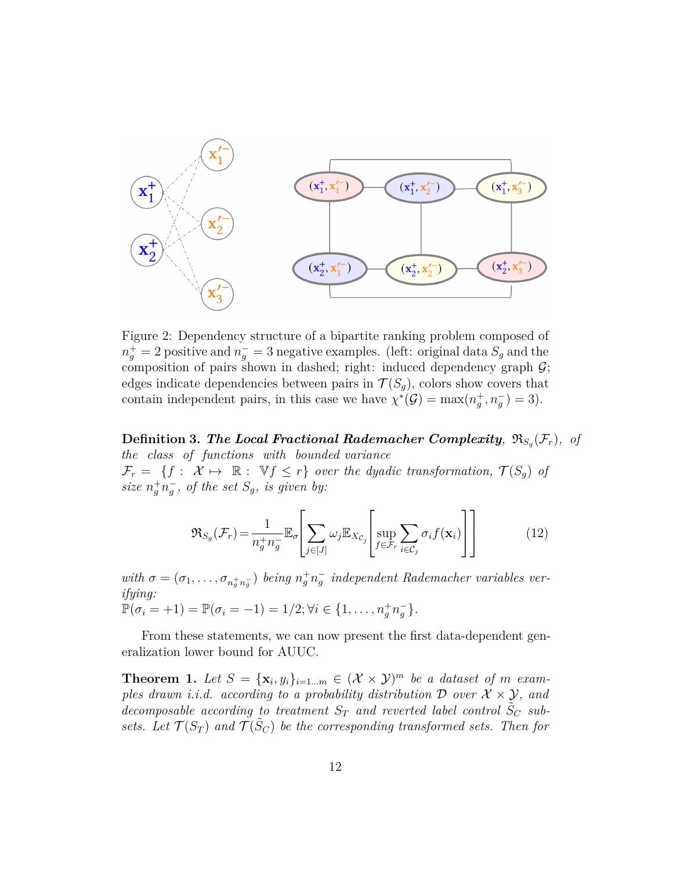

Figure 2: Dependency structure of a bipartite ranking problem composed of  $n_g^+ = 2$  positive and  $n_g^- = 3$  negative examples. (left: original data  $S_g$  and the composition of pairs shown in dashed; right: induced dependency graph *G*; edges indicate dependencies between pairs in  $\mathcal{T}(S_q)$ , colors show covers that contain independent pairs, in this case we have  $\chi^*(\mathcal{G}) = \max(n_g^+, n_g^-) = 3$ .

 $\bf{Definition 3.}$   $\bf{The \ Local \ Fractional \ Rademacher \ Complexity, \ \mathfrak{R}_{S_g}(\mathcal{F}_r), \ \ of$ *the class of functions with bounded variance*  $\mathcal{F}_r = \{f : \mathcal{X} \mapsto \mathbb{R} : \mathbb{V}f \leq r\}$  *over the dyadic transformation,*  $\mathcal{T}(S_g)$  *of size*  $n_g^+ n_g^-$ , *of the set*  $S_g$ *, is given by:* 

$$
\mathfrak{R}_{S_g}(\mathcal{F}_r) = \frac{1}{n_g^+ n_g^-} \mathbb{E}_{\sigma} \left[ \sum_{j \in [J]} \omega_j \mathbb{E}_{X_{C_j}} \left[ \sup_{f \in \mathcal{F}_r} \sum_{i \in C_j} \sigma_i f(\mathbf{x}_i) \right] \right]
$$
(12)

*with*  $\sigma = (\sigma_1, \ldots, \sigma_{n_g^+ n_g^-})$  *being*  $n_g^+ n_g^-$  *independent Rademacher variables verifying:*  $\mathbb{P}(\sigma_i = +1) = \mathbb{P}(\sigma_i = -1) = 1/2; \forall i \in \{1, \ldots, n_g^+ n_g^- \}.$ 

From these statements, we can now present the first data-dependent generalization lower bound for AUUC.

**Theorem 1.** Let  $S = {\mathbf{x}_i, y_i}_{i=1...m} \in (X \times Y)^m$  be a dataset of *m* exam*ples drawn i.i.d. according to a probability distribution*  $D$  *over*  $X \times Y$ *, and*  $\vec{c}$  *decomposable according to treatment*  $S_T$  *and reverted label control*  $\tilde{S}_C$  *subsets.* Let  $\mathcal{T}(S_T)$  and  $\mathcal{T}(\tilde{S}_C)$  be the corresponding transformed sets. Then for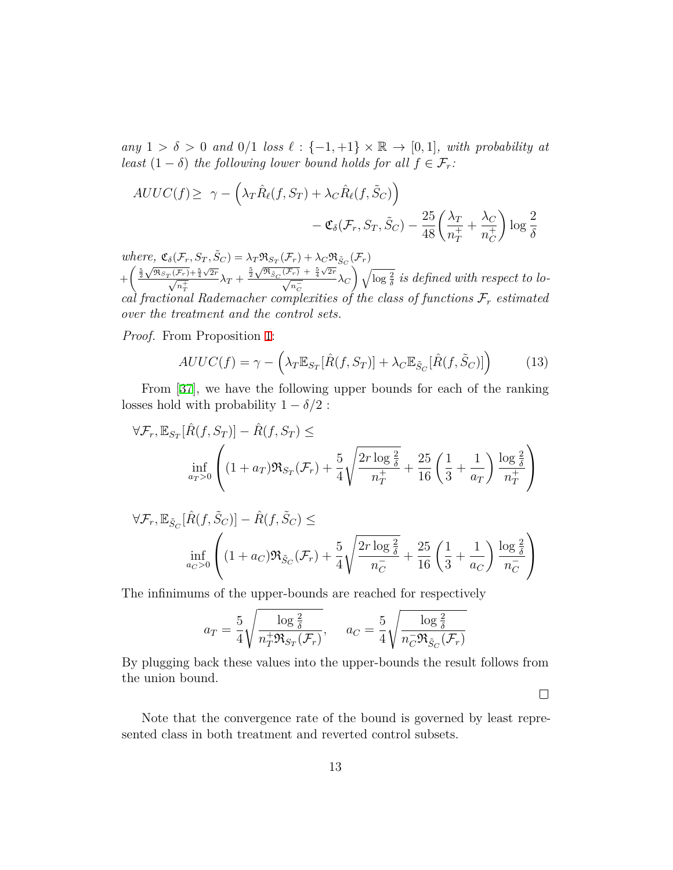*any*  $1 > \delta > 0$  *and*  $0/1$  *loss*  $\ell : \{-1, +1\} \times \mathbb{R} \to [0, 1]$ *, with probability at least*  $(1 - \delta)$  *the following lower bound holds for all*  $f \in \mathcal{F}_r$ *:* 

$$
AUC(f) \geq \gamma - \left(\lambda_T \hat{R}_{\ell}(f, S_T) + \lambda_C \hat{R}_{\ell}(f, \tilde{S}_C)\right) - \mathfrak{C}_{\delta}(\mathcal{F}_r, S_T, \tilde{S}_C) - \frac{25}{48} \left(\frac{\lambda_T}{n_T^+} + \frac{\lambda_C}{n_C^+}\right) \log \frac{2}{\delta}
$$

 $where, \ \mathfrak{C}_{\delta}(\mathcal{F}_r, S_T, \tilde{S}_C) = \lambda_T \mathfrak{R}_{S_T}(\mathcal{F}_r) + \lambda_C \mathfrak{R}_{\tilde{S}_C}(\mathcal{F}_r)$  $+\left(\frac{\frac{5}{2}\sqrt{\Re_{S_T}(\mathcal{F}_r)}+\frac{5}{4}\sqrt{2r}}{\sqrt{n_T^+}}\lambda_T+\frac{\frac{5}{2}\sqrt{\Re_{\tilde{S}_C}(\mathcal{F}_r)}+\frac{5}{4}\sqrt{2r}}{\sqrt{n_C^-}}\lambda_C\right)\sqrt{\log{\frac{2}{\delta}}} \text{ is defined with respect to lo-}$ *cal fractional Rademacher complexities of the class of functions F<sup>r</sup> estimated over the treatment and the control sets.*

*Proof.* From Proposition 1:

$$
AUUC(f) = \gamma - \left(\lambda_T \mathbb{E}_{S_T}[\hat{R}(f, S_T)] + \lambda_C \mathbb{E}_{\tilde{S}_C}[\hat{R}(f, \tilde{S}_C)]\right)
$$
(13)

From [37], we have the following upper bounds for each of the ranking losses hold with probability  $1 - \delta/2$ :

$$
\forall \mathcal{F}_r, \mathbb{E}_{S_T}[\hat{R}(f, S_T)] - \hat{R}(f, S_T) \le
$$

$$
\inf_{a_T > 0} \left( (1 + a_T) \Re_{S_T}(\mathcal{F}_r) + \frac{5}{4} \sqrt{\frac{2r \log \frac{2}{\delta}}{n_T^+}} + \frac{25}{16} \left( \frac{1}{3} + \frac{1}{a_T} \right) \frac{\log \frac{2}{\delta}}{n_T^+} \right)
$$

$$
\forall \mathcal{F}_r, \mathbb{E}_{\tilde{S}_C}[\hat{R}(f, \tilde{S}_C)] - \hat{R}(f, \tilde{S}_C) \le
$$
  

$$
\inf_{a_C > 0} \left( (1 + a_C)\Re_{\tilde{S}_C}(\mathcal{F}_r) + \frac{5}{4} \sqrt{\frac{2r \log \frac{2}{\delta}}{n_C^2}} + \frac{25}{16} \left( \frac{1}{3} + \frac{1}{a_C} \right) \frac{\log \frac{2}{\delta}}{n_C^2} \right)
$$

The infinimums of the upper-bounds are reached for respectively

$$
a_T = \frac{5}{4} \sqrt{\frac{\log \frac{2}{\delta}}{n_T^+ \mathfrak{R}_{S_T}(\mathcal{F}_r)}}, \quad a_C = \frac{5}{4} \sqrt{\frac{\log \frac{2}{\delta}}{n_C^- \mathfrak{R}_{\tilde{S}_C}(\mathcal{F}_r)}}
$$

By plugging back these values into the upper-bounds the result follows from the union bound.

 $\Box$ 

Note that the convergence rate of the bound is governed by least represented class in both treatment and reverted control subsets.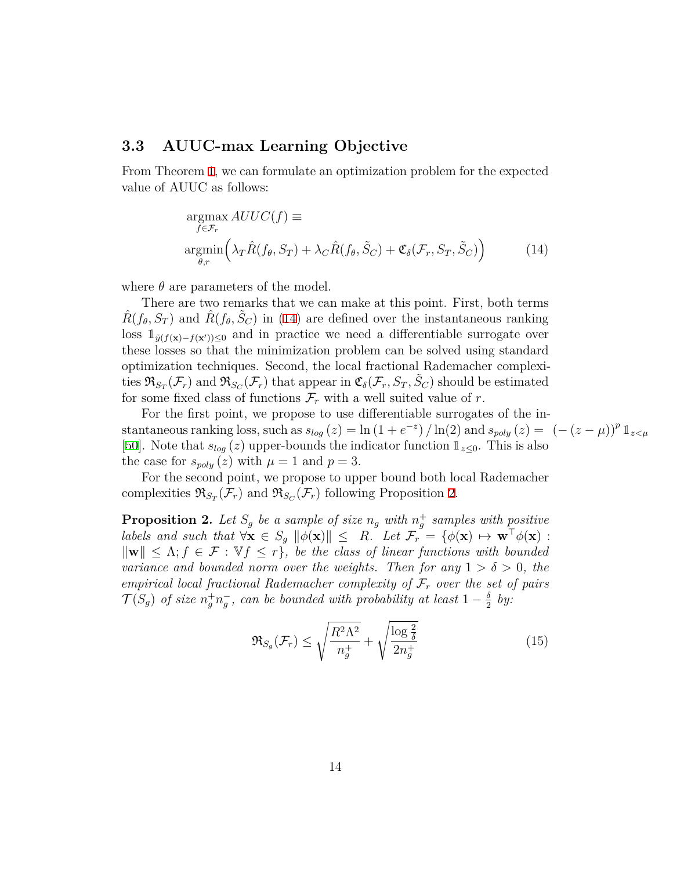#### **3.3 AUUC-max Learning Objective**

From Theorem 1, we can formulate an optimization problem for the expected value of AUUC as follows:

$$
\underset{\theta,r}{\operatorname{argmax}} \, AUUC(f) \equiv
$$
\n
$$
\underset{\theta,r}{\operatorname{argmin}} \left( \lambda_T \hat{R}(f_\theta, S_T) + \lambda_C \hat{R}(f_\theta, \tilde{S}_C) + \mathfrak{C}_{\delta}(\mathcal{F}_r, S_T, \tilde{S}_C) \right) \tag{14}
$$

where  $\theta$  are parameters of the model.

There are two remarks that we can make at this point. First, both terms  $\hat{R}(f_{\theta}, S_T)$  and  $\hat{R}(f_{\theta}, \tilde{S}_C)$  in (14) are defined over the instantaneous ranking loss  $\mathbb{1}_{\tilde{y}(f(\mathbf{x})-f(\mathbf{x}'))\leq 0}$  and in practice we need a differentiable surrogate over these losses so that the minimization problem can be solved using standard optimization techniques. Second, the local fractional Rademacher complexi- $\mathfrak{R}_{S_T}(\mathcal{F}_r)$  and  $\mathfrak{R}_{S_C}(\mathcal{F}_r)$  that appear in  $\mathfrak{C}_{\delta}(\mathcal{F}_r, S_T, \tilde{S}_C)$  should be estimated for some fixed class of functions  $\mathcal{F}_r$  with a well suited value of  $r$ .

For the first point, we propose to use differentiable surrogates of the instantaneous ranking loss, such as  $s_{log}(z) = \ln(1 + e^{-z}) / \ln(2)$  and  $s_{poly}(z) = (- (z - \mu))^p 1_{z \leq \mu}$ [50]. Note that  $s_{log}(z)$  upper-bounds the indicator function  $\mathbb{1}_{z\leq 0}$ . This is also the case for  $s_{poly}(z)$  with  $\mu = 1$  and  $p = 3$ .

For the second point, we propose to upper bound both local Rademacher complexities  $\mathfrak{R}_{S_T}(\mathcal{F}_r)$  and  $\mathfrak{R}_{S_C}(\mathcal{F}_r)$  following Proposition 2.

**Proposition 2.** Let  $S_g$  be a sample of size  $n_g$  with  $n_g^+$  samples with positive *labels and such that*  $\forall \mathbf{x} \in S_g \|\phi(\mathbf{x})\| \leq R$ *. Let*  $\mathcal{F}_r = \{\phi(\mathbf{x}) \mapsto \mathbf{w}^\top \phi(\mathbf{x})\}$ : *∥***w***∥ ≤* Λ; *f ∈ F* : V*f ≤ r}, be the class of linear functions with bounded variance and bounded norm over the weights. Then for any*  $1 > \delta > 0$ , the *empirical local fractional Rademacher complexity of*  $\mathcal{F}_r$  *over the set of pairs*  $\mathcal{T}(S_g)$  *of size*  $n_g^+ n_g^-$ , can be bounded with probability at least  $1 - \frac{\delta}{2}$  $rac{\delta}{2}$  by:

$$
\Re_{S_g}(\mathcal{F}_r) \le \sqrt{\frac{R^2 \Lambda^2}{n_g^+}} + \sqrt{\frac{\log \frac{2}{\delta}}{2n_g^+}}\tag{15}
$$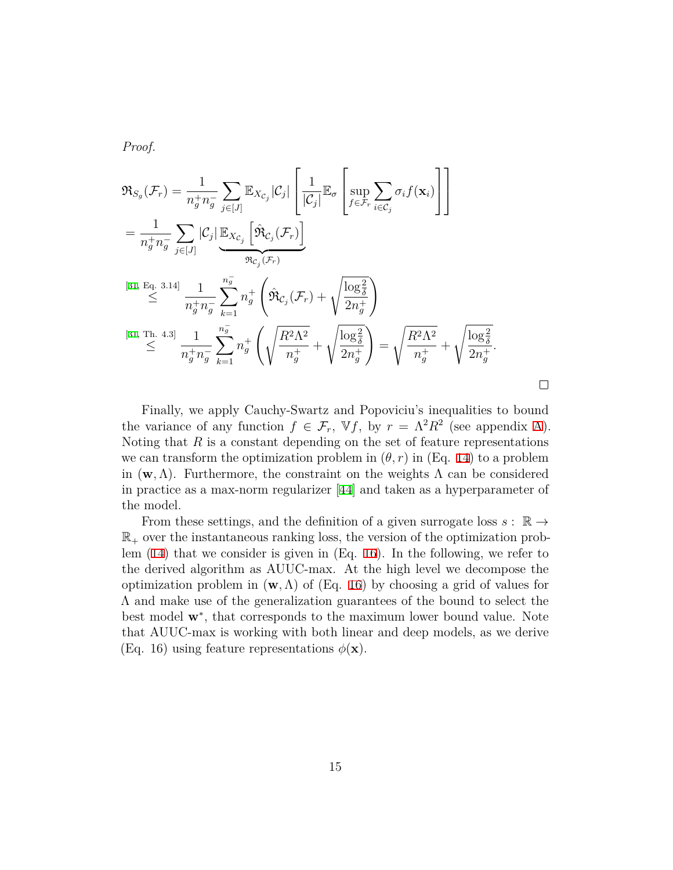*Proof.*

$$
\mathfrak{R}_{S_g}(\mathcal{F}_r) = \frac{1}{n_g^+ n_g^-} \sum_{j \in [J]} \mathbb{E}_{X_{C_j}} |\mathcal{C}_j| \left[ \frac{1}{|\mathcal{C}_j|} \mathbb{E}_{\sigma} \left[ \sup_{f \in \mathcal{F}_r} \sum_{i \in \mathcal{C}_j} \sigma_i f(\mathbf{x}_i) \right] \right]
$$
\n
$$
= \frac{1}{n_g^+ n_g^-} \sum_{j \in [J]} |\mathcal{C}_j| \underbrace{\mathbb{E}_{X_{C_j}} [\hat{\mathfrak{R}}_{C_j}(\mathcal{F}_r)]}_{\mathfrak{R}_{C_j}(\mathcal{F}_r)}
$$
\n
$$
\stackrel{\text{[31, Eq. 3.14]}}{\leq} \frac{1}{n_g^+ n_g^-} \sum_{k=1}^{n_g^-} n_g^+ \left( \hat{\mathfrak{R}}_{C_j}(\mathcal{F}_r) + \sqrt{\frac{\log_{\delta}^2}{2n_g^+}} \right)
$$
\n
$$
\stackrel{\text{[31, Th. 4.3]}}{\leq} \frac{1}{n_g^+ n_g^-} \sum_{k=1}^{n_g^-} n_g^+ \left( \sqrt{\frac{R^2 \Lambda^2}{n_g^+}} + \sqrt{\frac{\log_{\delta}^2}{2n_g^+}} \right) = \sqrt{\frac{R^2 \Lambda^2}{n_g^+}} + \sqrt{\frac{\log_{\delta}^2}{2n_g^+}}.
$$

Finally, we apply Cauchy-Swartz and Popoviciu's inequalities to bound the variance of any function  $f \in \mathcal{F}_r$ ,  $\forall f$ , by  $r = \Lambda^2 R^2$  (see appendix A). Noting that *R* is a constant depending on the set of feature representations we can transform the optimization problem in  $(\theta, r)$  in (Eq. 14) to a problem in  $(\mathbf{w}, \Lambda)$ . Furthermore, the constraint on the weights  $\Lambda$  can be considered in practice as a max-norm regularizer [44] and taken as a hyperparameter of the model.

 $\Box$ 

From these settings, and the definition of a given surrogate loss  $s : \mathbb{R} \rightarrow$  $\mathbb{R}_+$  over the instantaneous ranking loss, the version of the optimization problem (14) that we consider is given in (Eq. 16). In the following, we refer to the derived algorithm as AUUC-max. At the high level we decompose the optimization problem in  $(\mathbf{w}, \Lambda)$  of (Eq. 16) by choosing a grid of values for Λ and make use of the generalization guarantees of the bound to select the best model **w***<sup>∗</sup>* , that corresponds to the maximum lower bound value. Note that AUUC-max is working with both linear and deep models, as we derive (Eq. 16) using feature representations  $\phi(\mathbf{x})$ .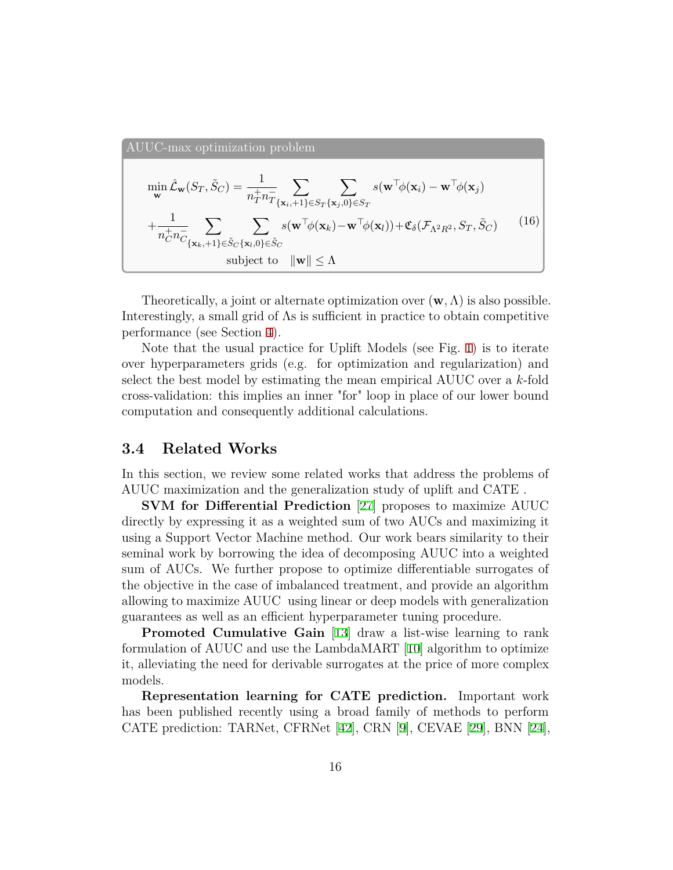AUUC-max optimization problem  
\n
$$
\min_{\mathbf{w}} \hat{\mathcal{L}}_{\mathbf{w}}(S_T, \tilde{S}_C) = \frac{1}{n_T^+ n_T^-} \sum_{\{\mathbf{x}_i, +1\} \in S_T\{\mathbf{x}_j, 0\} \in S_T} s(\mathbf{w}^\top \phi(\mathbf{x}_i) - \mathbf{w}^\top \phi(\mathbf{x}_j)) + \frac{1}{n_C^+ n_C^-} \sum_{\{\mathbf{x}_k, +1\} \in \tilde{S}_C\{\mathbf{x}_l, 0\} \in \tilde{S}_C} s(\mathbf{w}^\top \phi(\mathbf{x}_k) - \mathbf{w}^\top \phi(\mathbf{x}_l)) + \mathfrak{C}_{\delta}(\mathcal{F}_{\Lambda^2 R^2}, S_T, \tilde{S}_C)
$$
\nsubject to 
$$
\|\mathbf{w}\| \leq \Lambda
$$
\n(16)

Theoretically, a joint or alternate optimization over (**w***,*Λ) is also possible. Interestingly, a small grid of  $\Lambda$ s is sufficient in practice to obtain competitive performance (see Section 4).

Note that the usual practice for Uplift Models (see Fig. 1) is to iterate over hyperparameters grids (e.g. for optimization and regularization) and select the best model by estimating the mean empirical AUUC over a *k*-fold cross-validation: this implies an inner "for" loop in place of our lower bound computation and consequently additional calculations.

### **3.4 Related Works**

In this section, we review some related works that address the problems of AUUC maximization and the generalization study of uplift and CATE .

**SVM for Differential Prediction** [27] proposes to maximize AUUC directly by expressing it as a weighted sum of two AUCs and maximizing it using a Support Vector Machine method. Our work bears similarity to their seminal work by borrowing the idea of decomposing AUUC into a weighted sum of AUCs. We further propose to optimize differentiable surrogates of the objective in the case of imbalanced treatment, and provide an algorithm allowing to maximize AUUC using linear or deep models with generalization guarantees as well as an efficient hyperparameter tuning procedure.

**Promoted Cumulative Gain** [13] draw a list-wise learning to rank formulation of AUUC and use the LambdaMART [10] algorithm to optimize it, alleviating the need for derivable surrogates at the price of more complex models.

**Representation learning for CATE prediction.** Important work has been published recently using a broad family of methods to perform CATE prediction: TARNet, CFRNet [42], CRN [9], CEVAE [29], BNN [24],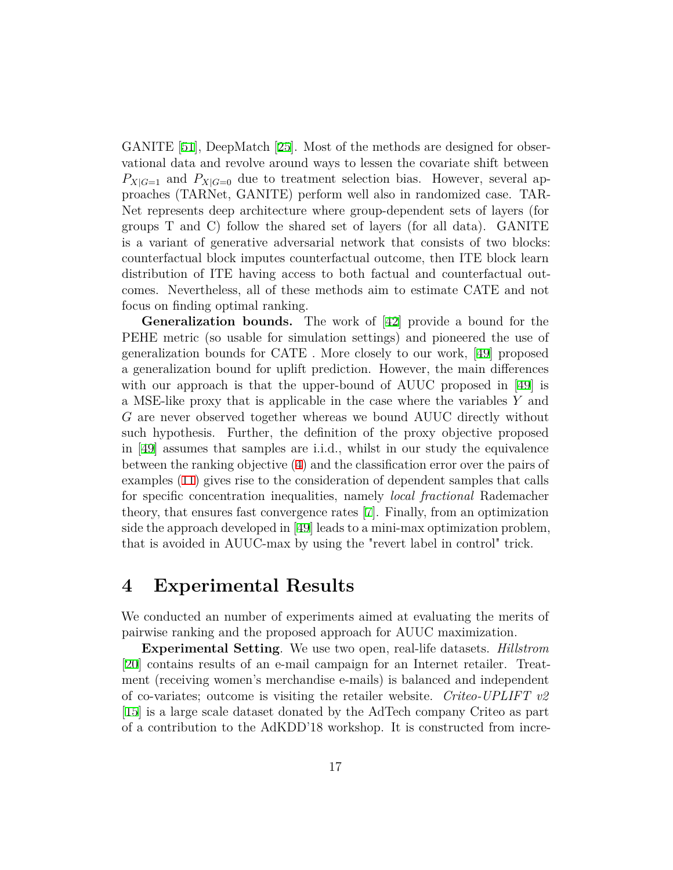GANITE [51], DeepMatch [25]. Most of the methods are designed for observational data and revolve around ways to lessen the covariate shift between  $P_{X|G=1}$  and  $P_{X|G=0}$  due to treatment selection bias. However, several approaches (TARNet, GANITE) perform well also in randomized case. TAR-Net represents deep architecture where group-dependent sets of layers (for groups T and C) follow the shared set of layers (for all data). GANITE is a variant of generative adversarial network that consists of two blocks: counterfactual block imputes counterfactual outcome, then ITE block learn distribution of ITE having access to both factual and counterfactual outcomes. Nevertheless, all of these methods aim to estimate CATE and not focus on finding optimal ranking.

**Generalization bounds.** The work of [42] provide a bound for the PEHE metric (so usable for simulation settings) and pioneered the use of generalization bounds for CATE . More closely to our work, [49] proposed a generalization bound for uplift prediction. However, the main differences with our approach is that the upper-bound of AUUC proposed in [49] is a MSE-like proxy that is applicable in the case where the variables *Y* and *G* are never observed together whereas we bound AUUC directly without such hypothesis. Further, the definition of the proxy objective proposed in [49] assumes that samples are i.i.d., whilst in our study the equivalence between the ranking objective (4) and the classification error over the pairs of examples (11) gives rise to the consideration of dependent samples that calls for specific concentration inequalities, namely *local fractional* Rademacher theory, that ensures fast convergence rates [7]. Finally, from an optimization side the approach developed in [49] leads to a mini-max optimization problem, that is avoided in AUUC-max by using the "revert label in control" trick.

## **4 Experimental Results**

We conducted an number of experiments aimed at evaluating the merits of pairwise ranking and the proposed approach for AUUC maximization.

**Experimental Setting**. We use two open, real-life datasets. *Hillstrom* [20] contains results of an e-mail campaign for an Internet retailer. Treatment (receiving women's merchandise e-mails) is balanced and independent of co-variates; outcome is visiting the retailer website. *Criteo-UPLIFT v2* [15] is a large scale dataset donated by the AdTech company Criteo as part of a contribution to the AdKDD'18 workshop. It is constructed from incre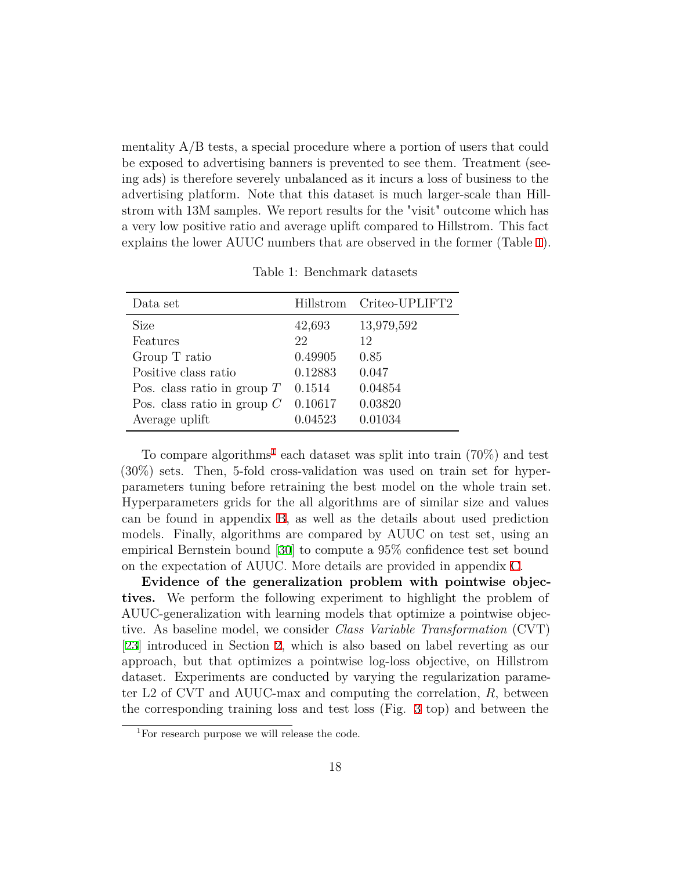mentality A/B tests, a special procedure where a portion of users that could be exposed to advertising banners is prevented to see them. Treatment (seeing ads) is therefore severely unbalanced as it incurs a loss of business to the advertising platform. Note that this dataset is much larger-scale than Hillstrom with 13M samples. We report results for the "visit" outcome which has a very low positive ratio and average uplift compared to Hillstrom. This fact explains the lower AUUC numbers that are observed in the former (Table 1).

| Data set                      |         | Hillstrom Criteo-UPLIFT2 |
|-------------------------------|---------|--------------------------|
| <b>Size</b>                   | 42,693  | 13,979,592               |
| Features                      | 22      | 12                       |
| Group T ratio                 | 0.49905 | 0.85                     |
| Positive class ratio          | 0.12883 | 0.047                    |
| Pos. class ratio in group $T$ | 0.1514  | 0.04854                  |
| Pos. class ratio in group $C$ | 0.10617 | 0.03820                  |
| Average uplift                | 0.04523 | 0.01034                  |

Table 1: Benchmark datasets

To compare algorithms<sup>1</sup> each dataset was split into train  $(70\%)$  and test (30%) sets. Then, 5-fold cross-validation was used on train set for hyperparameters tuning before retraining the best model on the whole train set. Hyperparameters grids for the all algorithms are of similar size and values can be found in appendix B, as well as the details about used prediction models. Finally, algorithms are compared by AUUC on test set, using an empirical Bernstein bound [30] to compute a 95% confidence test set bound on the expectation of AUUC. More details are provided in appendix C.

**Evidence of the generalization problem with pointwise objectives.** We perform the following experiment to highlight the problem of AUUC-generalization with learning models that optimize a pointwise objective. As baseline model, we consider *Class Variable Transformation* (CVT) [23] introduced in Section 2, which is also based on label reverting as our approach, but that optimizes a pointwise log-loss objective, on Hillstrom dataset. Experiments are conducted by varying the regularization parameter L2 of CVT and AUUC-max and computing the correlation, *R*, between the corresponding training loss and test loss (Fig. 3 top) and between the

<sup>1</sup>For research purpose we will release the code.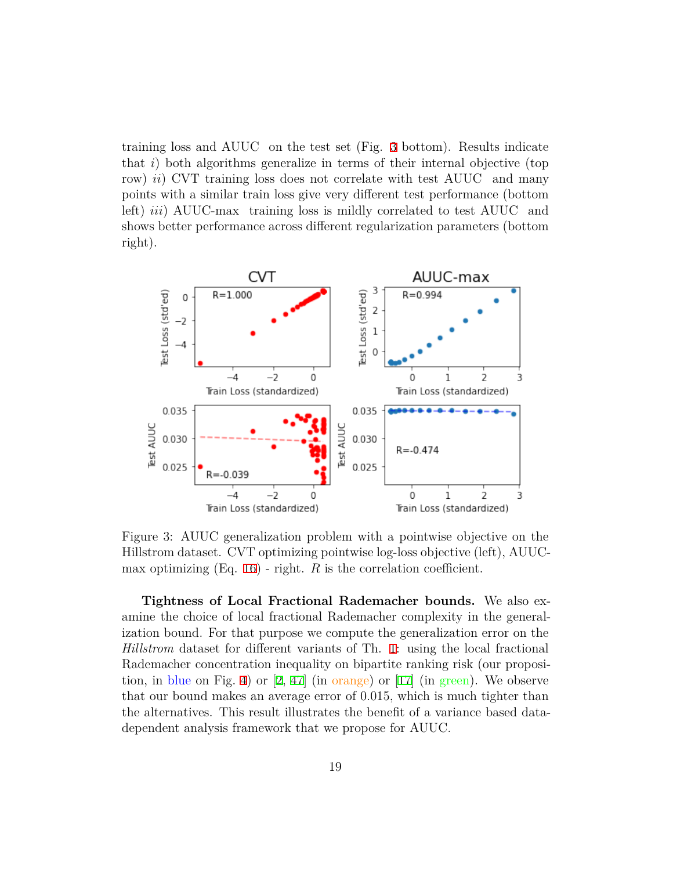training loss and AUUC on the test set (Fig. 3 bottom). Results indicate that *i*) both algorithms generalize in terms of their internal objective (top row) *ii*) CVT training loss does not correlate with test AUUC and many points with a similar train loss give very different test performance (bottom left) *iii*) AUUC-max training loss is mildly correlated to test AUUC and shows better performance across different regularization parameters (bottom right).



Figure 3: AUUC generalization problem with a pointwise objective on the Hillstrom dataset. CVT optimizing pointwise log-loss objective (left), AUUCmax optimizing  $(Eq. 16)$  - right. *R* is the correlation coefficient.

**Tightness of Local Fractional Rademacher bounds.** We also examine the choice of local fractional Rademacher complexity in the generalization bound. For that purpose we compute the generalization error on the *Hillstrom* dataset for different variants of Th. 1: using the local fractional Rademacher concentration inequality on bipartite ranking risk (our proposition, in blue on Fig. 4) or  $[2, 47]$  (in <u>orange</u>) or  $[17]$  (in green). We observe that our bound makes an average error of 0*.*015, which is much tighter than the alternatives. This result illustrates the benefit of a variance based datadependent analysis framework that we propose for AUUC.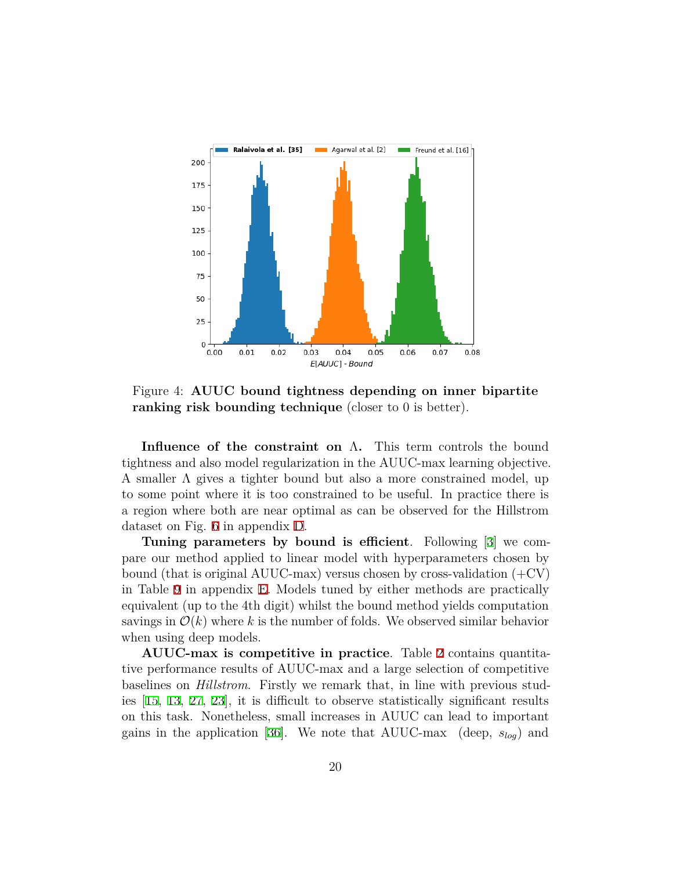

Figure 4: **AUUC bound tightness depending on inner bipartite ranking risk bounding technique** (closer to 0 is better).

**Influence of the constraint on** Λ**.** This term controls the bound tightness and also model regularization in the AUUC-max learning objective. A smaller Λ gives a tighter bound but also a more constrained model, up to some point where it is too constrained to be useful. In practice there is a region where both are near optimal as can be observed for the Hillstrom dataset on Fig. 6 in appendix D.

**Tuning parameters by bound is efficient**. Following [3] we compare our method applied to linear model with hyperparameters chosen by bound (that is original AUUC-max) versus chosen by cross-validation  $(+CV)$ in Table 9 in appendix E. Models tuned by either methods are practically equivalent (up to the 4th digit) whilst the bound method yields computation savings in  $\mathcal{O}(k)$  where k is the number of folds. We observed similar behavior when using deep models.

**AUUC-max is competitive in practice**. Table 2 contains quantitative performance results of AUUC-max and a large selection of competitive baselines on *Hillstrom*. Firstly we remark that, in line with previous studies [15, 13, 27, 23], it is difficult to observe statistically significant results on this task. Nonetheless, small increases in AUUC can lead to important gains in the application [36]. We note that AUUC-max (deep, *slog*) and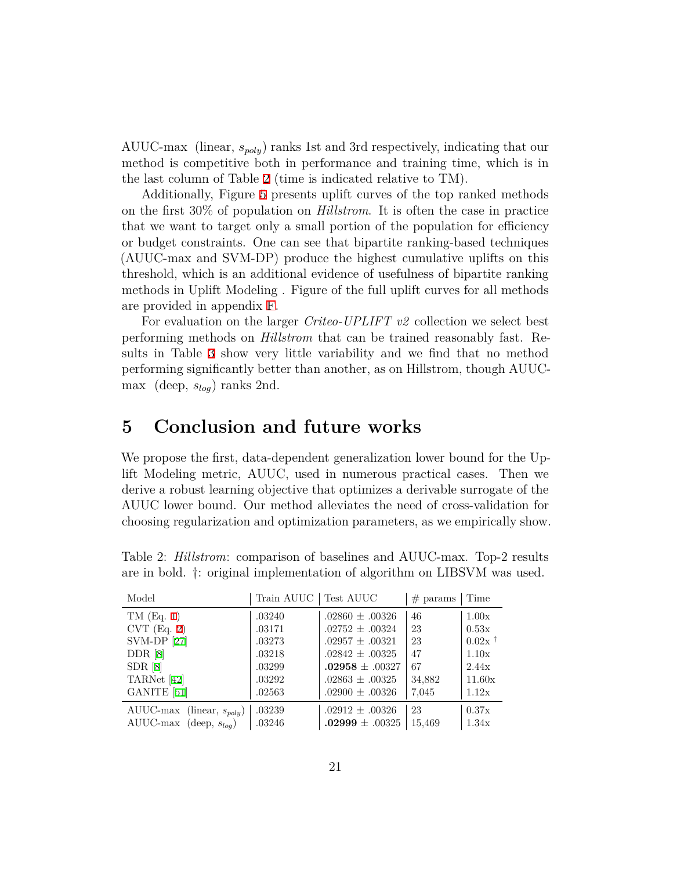AUUC-max (linear, *spoly*) ranks 1st and 3rd respectively, indicating that our method is competitive both in performance and training time, which is in the last column of Table 2 (time is indicated relative to TM).

Additionally, Figure 5 presents uplift curves of the top ranked methods on the first 30% of population on *Hillstrom*. It is often the case in practice that we want to target only a small portion of the population for efficiency or budget constraints. One can see that bipartite ranking-based techniques (AUUC-max and SVM-DP) produce the highest cumulative uplifts on this threshold, which is an additional evidence of usefulness of bipartite ranking methods in Uplift Modeling . Figure of the full uplift curves for all methods are provided in appendix F.

For evaluation on the larger *Criteo-UPLIFT v2* collection we select best performing methods on *Hillstrom* that can be trained reasonably fast. Results in Table 3 show very little variability and we find that no method performing significantly better than another, as on Hillstrom, though AUUCmax (deep, *slog*) ranks 2nd.

## **5 Conclusion and future works**

We propose the first, data-dependent generalization lower bound for the Uplift Modeling metric, AUUC, used in numerous practical cases. Then we derive a robust learning objective that optimizes a derivable surrogate of the AUUC lower bound. Our method alleviates the need of cross-validation for choosing regularization and optimization parameters, as we empirically show.

| Model                          | Train AUUC   Test AUUC |                     | $#$ params | Time                 |
|--------------------------------|------------------------|---------------------|------------|----------------------|
| $TM$ (Eq. 1)                   | .03240                 | $.02860 \pm .00326$ | 46         | 1.00x                |
| $CVT$ (Eq. 2)                  | .03171                 | $.02752 \pm .00324$ | 23         | 0.53x                |
| <b>SVM-DP</b> [27]             | .03273                 | $.02957 \pm .00321$ | 23         | $0.02x$ <sup>†</sup> |
| DDR [8]                        | .03218                 | $.02842 \pm .00325$ | 47         | 1.10x                |
| SDR[8]                         | .03299                 | $.02958 \pm .00327$ | 67         | 2.44x                |
| TARNet [42]                    | .03292                 | $.02863 \pm .00325$ | 34,882     | 11.60x               |
| GANITE <sup>[51]</sup>         | .02563                 | $.02900 \pm .00326$ | 7,045      | 1.12x                |
| AUUC-max (linear, $s_{poly}$ ) | .03239                 | $.02912 \pm .00326$ | 23         | 0.37x                |
| AUUC-max (deep, $s_{log}$ )    | .03246                 | $.02999 \pm .00325$ | 15,469     | 1.34x                |

Table 2: *Hillstrom*: comparison of baselines and AUUC-max. Top-2 results are in bold. *†*: original implementation of algorithm on LIBSVM was used.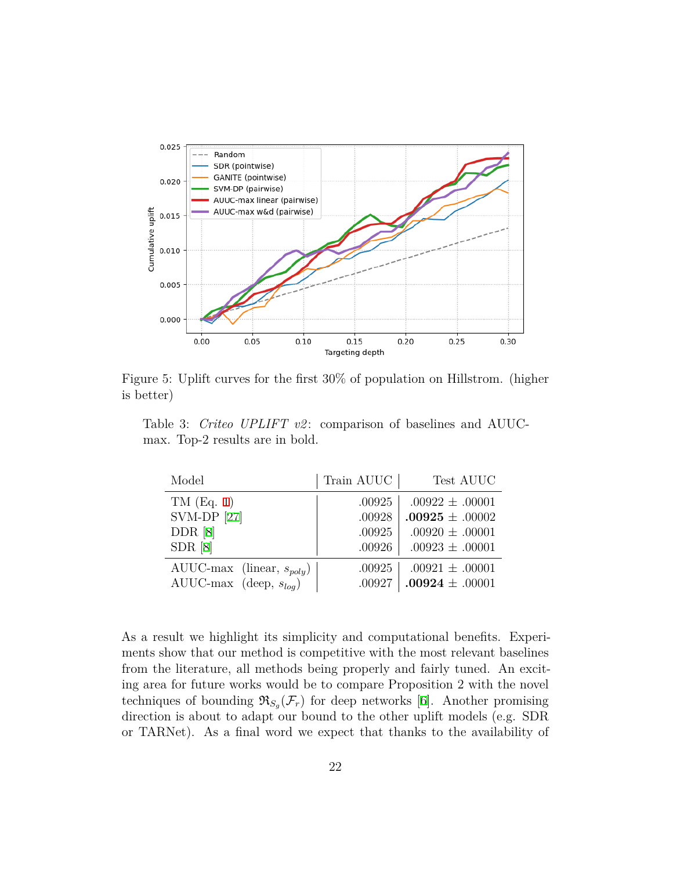

Figure 5: Uplift curves for the first 30% of population on Hillstrom. (higher is better)

Table 3: *Criteo UPLIFT v2*: comparison of baselines and AUUCmax. Top-2 results are in bold.

| Model                          | Train AUUC | Test AUUC           |
|--------------------------------|------------|---------------------|
| $TM$ (Eq. 1)                   | .00925     | $.00922 \pm .00001$ |
| <b>SVM-DP</b> [27]             | .00928     | $.00925 \pm .00002$ |
| DDR [8]                        | .00925     | $.00920 \pm .00001$ |
| SDR[8]                         | .00926     | $.00923 \pm .00001$ |
| AUUC-max (linear, $s_{poly}$ ) | .00925     | $.00921 \pm .00001$ |
| AUUC-max (deep, $s_{log}$ )    | .00927     | $.00924 \pm .00001$ |

As a result we highlight its simplicity and computational benefits. Experiments show that our method is competitive with the most relevant baselines from the literature, all methods being properly and fairly tuned. An exciting area for future works would be to compare Proposition 2 with the novel techniques of bounding  $\mathfrak{R}_{S_g}(\mathcal{F}_r)$  for deep networks [6]. Another promising direction is about to adapt our bound to the other uplift models (e.g. SDR or TARNet). As a final word we expect that thanks to the availability of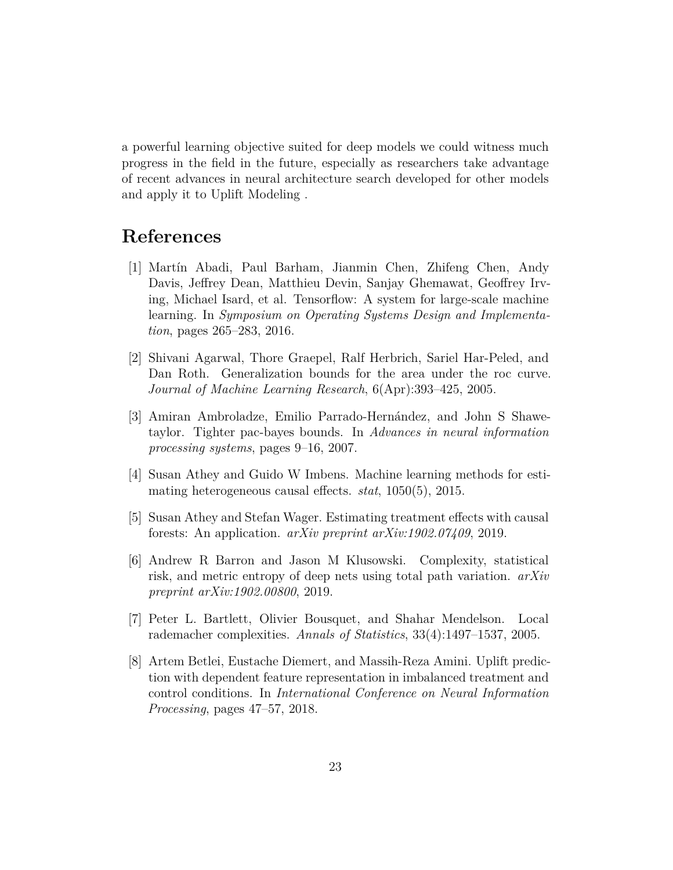a powerful learning objective suited for deep models we could witness much progress in the field in the future, especially as researchers take advantage of recent advances in neural architecture search developed for other models and apply it to Uplift Modeling .

## **References**

- [1] Martín Abadi, Paul Barham, Jianmin Chen, Zhifeng Chen, Andy Davis, Jeffrey Dean, Matthieu Devin, Sanjay Ghemawat, Geoffrey Irving, Michael Isard, et al. Tensorflow: A system for large-scale machine learning. In *Symposium on Operating Systems Design and Implementation*, pages 265–283, 2016.
- [2] Shivani Agarwal, Thore Graepel, Ralf Herbrich, Sariel Har-Peled, and Dan Roth. Generalization bounds for the area under the roc curve. *Journal of Machine Learning Research*, 6(Apr):393–425, 2005.
- [3] Amiran Ambroladze, Emilio Parrado-Hernández, and John S Shawetaylor. Tighter pac-bayes bounds. In *Advances in neural information processing systems*, pages 9–16, 2007.
- [4] Susan Athey and Guido W Imbens. Machine learning methods for estimating heterogeneous causal effects. *stat*, 1050(5), 2015.
- [5] Susan Athey and Stefan Wager. Estimating treatment effects with causal forests: An application. *arXiv preprint arXiv:1902.07409*, 2019.
- [6] Andrew R Barron and Jason M Klusowski. Complexity, statistical risk, and metric entropy of deep nets using total path variation. *arXiv preprint arXiv:1902.00800*, 2019.
- [7] Peter L. Bartlett, Olivier Bousquet, and Shahar Mendelson. Local rademacher complexities. *Annals of Statistics*, 33(4):1497–1537, 2005.
- [8] Artem Betlei, Eustache Diemert, and Massih-Reza Amini. Uplift prediction with dependent feature representation in imbalanced treatment and control conditions. In *International Conference on Neural Information Processing*, pages 47–57, 2018.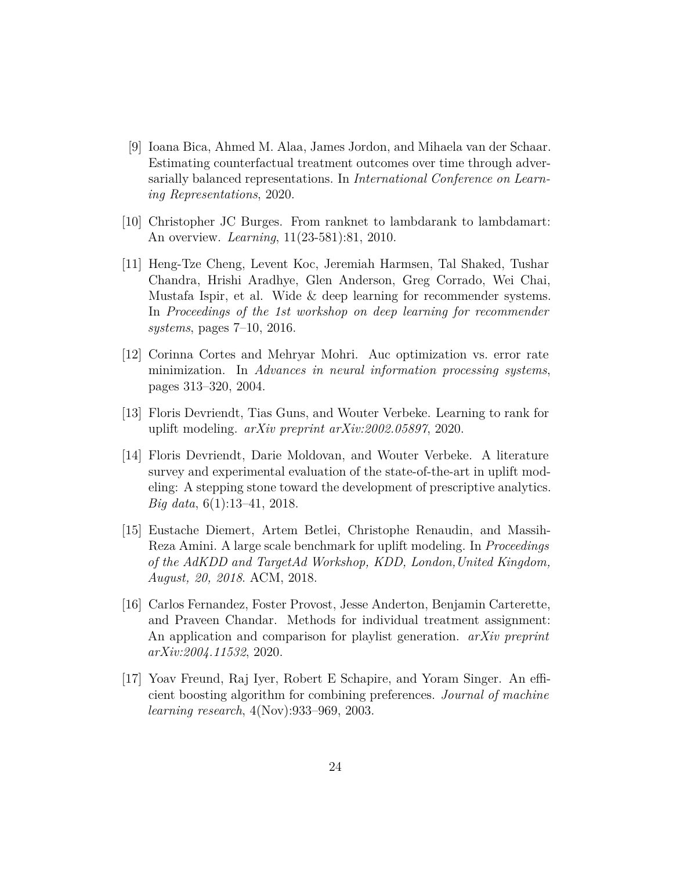- [9] Ioana Bica, Ahmed M. Alaa, James Jordon, and Mihaela van der Schaar. Estimating counterfactual treatment outcomes over time through adversarially balanced representations. In *International Conference on Learning Representations*, 2020.
- [10] Christopher JC Burges. From ranknet to lambdarank to lambdamart: An overview. *Learning*, 11(23-581):81, 2010.
- [11] Heng-Tze Cheng, Levent Koc, Jeremiah Harmsen, Tal Shaked, Tushar Chandra, Hrishi Aradhye, Glen Anderson, Greg Corrado, Wei Chai, Mustafa Ispir, et al. Wide & deep learning for recommender systems. In *Proceedings of the 1st workshop on deep learning for recommender systems*, pages 7–10, 2016.
- [12] Corinna Cortes and Mehryar Mohri. Auc optimization vs. error rate minimization. In *Advances in neural information processing systems*, pages 313–320, 2004.
- [13] Floris Devriendt, Tias Guns, and Wouter Verbeke. Learning to rank for uplift modeling. *arXiv preprint arXiv:2002.05897*, 2020.
- [14] Floris Devriendt, Darie Moldovan, and Wouter Verbeke. A literature survey and experimental evaluation of the state-of-the-art in uplift modeling: A stepping stone toward the development of prescriptive analytics. *Big data*, 6(1):13–41, 2018.
- [15] Eustache Diemert, Artem Betlei, Christophe Renaudin, and Massih-Reza Amini. A large scale benchmark for uplift modeling. In *Proceedings of the AdKDD and TargetAd Workshop, KDD, London,United Kingdom, August, 20, 2018*. ACM, 2018.
- [16] Carlos Fernandez, Foster Provost, Jesse Anderton, Benjamin Carterette, and Praveen Chandar. Methods for individual treatment assignment: An application and comparison for playlist generation. *arXiv preprint arXiv:2004.11532*, 2020.
- [17] Yoav Freund, Raj Iyer, Robert E Schapire, and Yoram Singer. An efficient boosting algorithm for combining preferences. *Journal of machine learning research*, 4(Nov):933–969, 2003.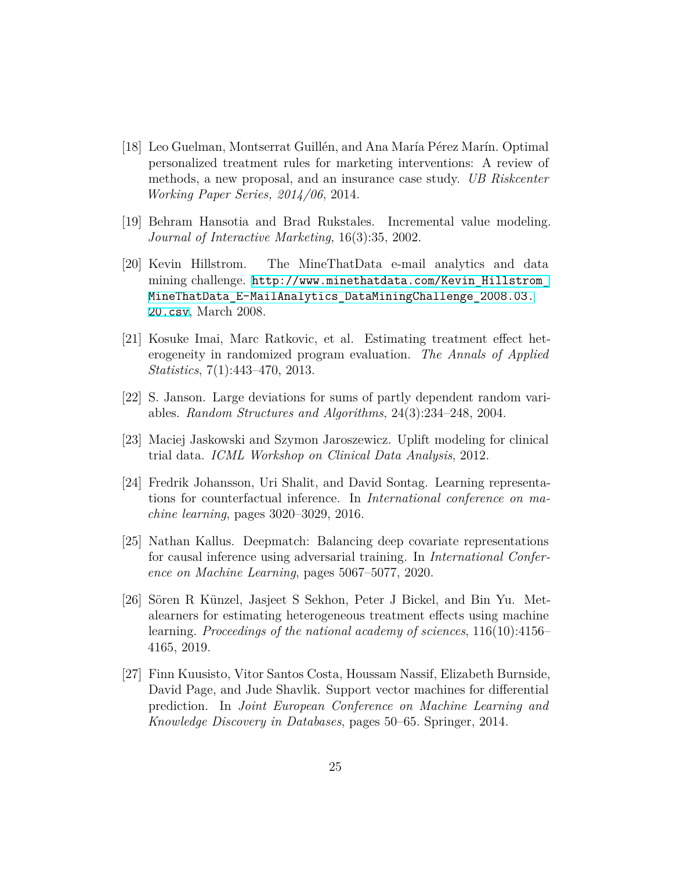- [18] Leo Guelman, Montserrat Guillén, and Ana María Pérez Marín. Optimal personalized treatment rules for marketing interventions: A review of methods, a new proposal, and an insurance case study. *UB Riskcenter Working Paper Series, 2014/06*, 2014.
- [19] Behram Hansotia and Brad Rukstales. Incremental value modeling. *Journal of Interactive Marketing*, 16(3):35, 2002.
- [20] Kevin Hillstrom. The MineThatData e-mail analytics and data mining challenge. [http://www.minethatdata.com/Kevin\\_Hillstrom\\_](http://www.minethatdata.com/Kevin_Hillstrom_MineThatData_E-MailAnalytics_DataMiningChallenge_2008.03.20.csv) MineThatData E-MailAnalytics DataMiningChallenge 2008.03. [20.csv](http://www.minethatdata.com/Kevin_Hillstrom_MineThatData_E-MailAnalytics_DataMiningChallenge_2008.03.20.csv), March 2008.
- [21] Kosuke Imai, Marc Ratkovic, et al. Estimating treatment effect heterogeneity in randomized program evaluation. *The Annals of Applied Statistics*, 7(1):443–470, 2013.
- [22] S. Janson. Large deviations for sums of partly dependent random variables. *Random Structures and Algorithms*, 24(3):234–248, 2004.
- [23] Maciej Jaskowski and Szymon Jaroszewicz. Uplift modeling for clinical trial data. *ICML Workshop on Clinical Data Analysis*, 2012.
- [24] Fredrik Johansson, Uri Shalit, and David Sontag. Learning representations for counterfactual inference. In *International conference on machine learning*, pages 3020–3029, 2016.
- [25] Nathan Kallus. Deepmatch: Balancing deep covariate representations for causal inference using adversarial training. In *International Conference on Machine Learning*, pages 5067–5077, 2020.
- [26] Sören R Künzel, Jasjeet S Sekhon, Peter J Bickel, and Bin Yu. Metalearners for estimating heterogeneous treatment effects using machine learning. *Proceedings of the national academy of sciences*, 116(10):4156– 4165, 2019.
- [27] Finn Kuusisto, Vitor Santos Costa, Houssam Nassif, Elizabeth Burnside, David Page, and Jude Shavlik. Support vector machines for differential prediction. In *Joint European Conference on Machine Learning and Knowledge Discovery in Databases*, pages 50–65. Springer, 2014.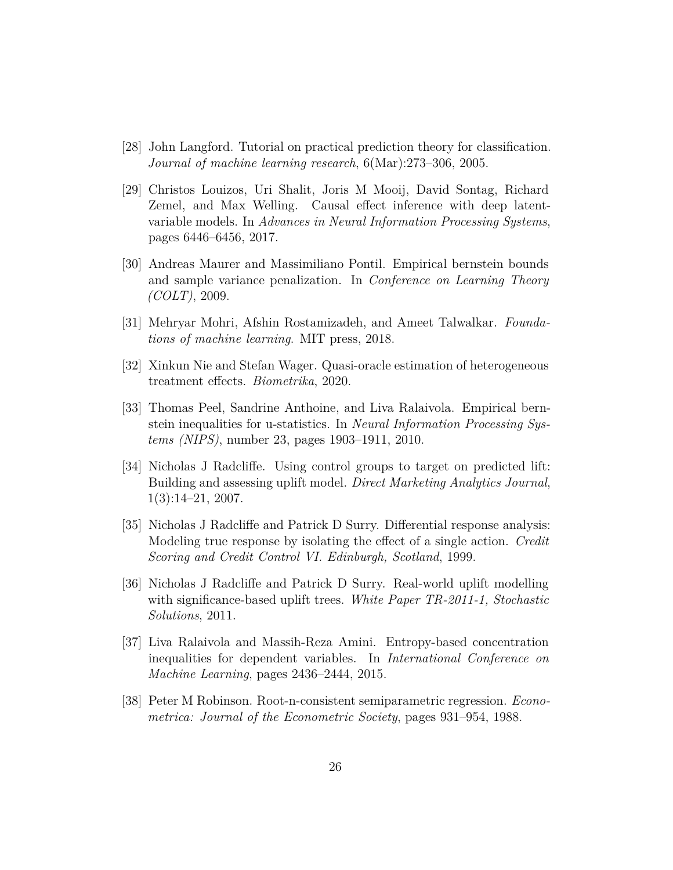- [28] John Langford. Tutorial on practical prediction theory for classification. *Journal of machine learning research*, 6(Mar):273–306, 2005.
- [29] Christos Louizos, Uri Shalit, Joris M Mooij, David Sontag, Richard Zemel, and Max Welling. Causal effect inference with deep latentvariable models. In *Advances in Neural Information Processing Systems*, pages 6446–6456, 2017.
- [30] Andreas Maurer and Massimiliano Pontil. Empirical bernstein bounds and sample variance penalization. In *Conference on Learning Theory (COLT)*, 2009.
- [31] Mehryar Mohri, Afshin Rostamizadeh, and Ameet Talwalkar. *Foundations of machine learning*. MIT press, 2018.
- [32] Xinkun Nie and Stefan Wager. Quasi-oracle estimation of heterogeneous treatment effects. *Biometrika*, 2020.
- [33] Thomas Peel, Sandrine Anthoine, and Liva Ralaivola. Empirical bernstein inequalities for u-statistics. In *Neural Information Processing Systems (NIPS)*, number 23, pages 1903–1911, 2010.
- [34] Nicholas J Radcliffe. Using control groups to target on predicted lift: Building and assessing uplift model. *Direct Marketing Analytics Journal*, 1(3):14–21, 2007.
- [35] Nicholas J Radcliffe and Patrick D Surry. Differential response analysis: Modeling true response by isolating the effect of a single action. *Credit Scoring and Credit Control VI. Edinburgh, Scotland*, 1999.
- [36] Nicholas J Radcliffe and Patrick D Surry. Real-world uplift modelling with significance-based uplift trees. *White Paper TR-2011-1, Stochastic Solutions*, 2011.
- [37] Liva Ralaivola and Massih-Reza Amini. Entropy-based concentration inequalities for dependent variables. In *International Conference on Machine Learning*, pages 2436–2444, 2015.
- [38] Peter M Robinson. Root-n-consistent semiparametric regression. *Econometrica: Journal of the Econometric Society*, pages 931–954, 1988.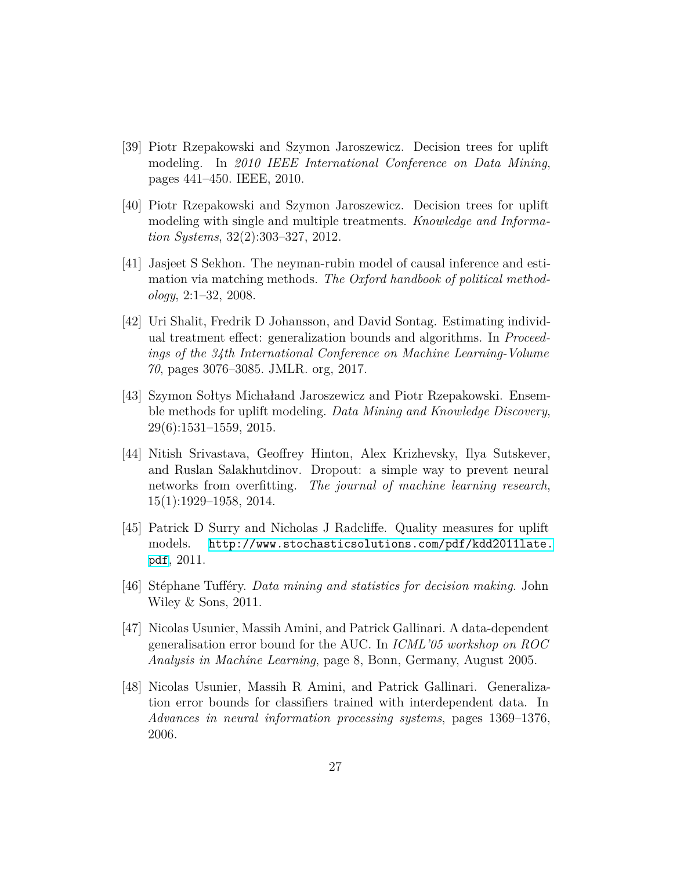- [39] Piotr Rzepakowski and Szymon Jaroszewicz. Decision trees for uplift modeling. In *2010 IEEE International Conference on Data Mining*, pages 441–450. IEEE, 2010.
- [40] Piotr Rzepakowski and Szymon Jaroszewicz. Decision trees for uplift modeling with single and multiple treatments. *Knowledge and Information Systems*, 32(2):303–327, 2012.
- [41] Jasjeet S Sekhon. The neyman-rubin model of causal inference and estimation via matching methods. *The Oxford handbook of political methodology*, 2:1–32, 2008.
- [42] Uri Shalit, Fredrik D Johansson, and David Sontag. Estimating individual treatment effect: generalization bounds and algorithms. In *Proceedings of the 34th International Conference on Machine Learning-Volume 70*, pages 3076–3085. JMLR. org, 2017.
- [43] Szymon Sołtys Michałand Jaroszewicz and Piotr Rzepakowski. Ensemble methods for uplift modeling. *Data Mining and Knowledge Discovery*, 29(6):1531–1559, 2015.
- [44] Nitish Srivastava, Geoffrey Hinton, Alex Krizhevsky, Ilya Sutskever, and Ruslan Salakhutdinov. Dropout: a simple way to prevent neural networks from overfitting. *The journal of machine learning research*, 15(1):1929–1958, 2014.
- [45] Patrick D Surry and Nicholas J Radcliffe. Quality measures for uplift models. [http://www.stochasticsolutions.com/pdf/kdd2011late.](http://www.stochasticsolutions.com/pdf/kdd2011late.pdf) [pdf](http://www.stochasticsolutions.com/pdf/kdd2011late.pdf), 2011.
- [46] Stéphane Tufféry. *Data mining and statistics for decision making*. John Wiley & Sons, 2011.
- [47] Nicolas Usunier, Massih Amini, and Patrick Gallinari. A data-dependent generalisation error bound for the AUC. In *ICML'05 workshop on ROC Analysis in Machine Learning*, page 8, Bonn, Germany, August 2005.
- [48] Nicolas Usunier, Massih R Amini, and Patrick Gallinari. Generalization error bounds for classifiers trained with interdependent data. In *Advances in neural information processing systems*, pages 1369–1376, 2006.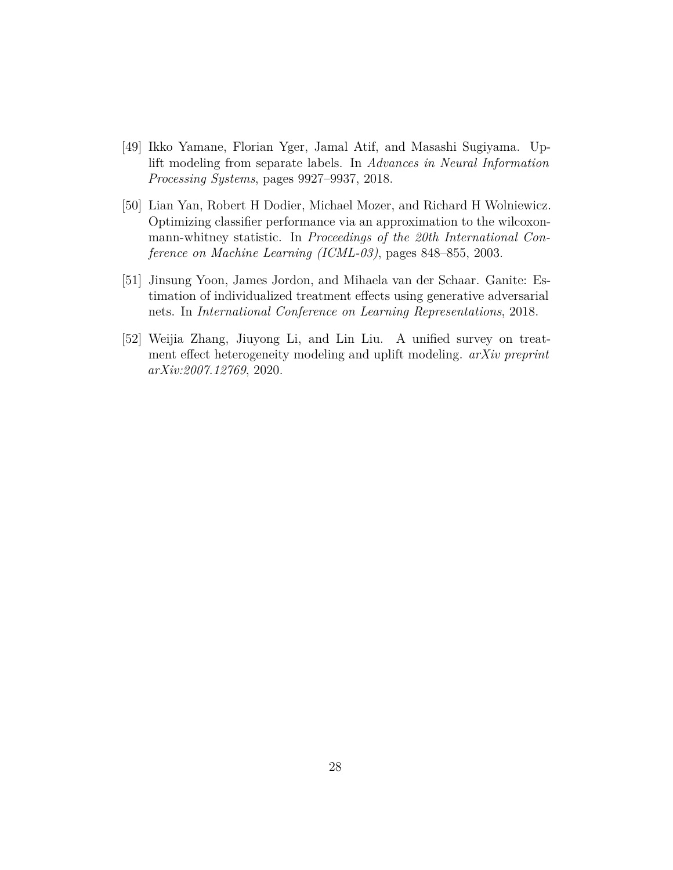- [49] Ikko Yamane, Florian Yger, Jamal Atif, and Masashi Sugiyama. Uplift modeling from separate labels. In *Advances in Neural Information Processing Systems*, pages 9927–9937, 2018.
- [50] Lian Yan, Robert H Dodier, Michael Mozer, and Richard H Wolniewicz. Optimizing classifier performance via an approximation to the wilcoxonmann-whitney statistic. In *Proceedings of the 20th International Conference on Machine Learning (ICML-03)*, pages 848–855, 2003.
- [51] Jinsung Yoon, James Jordon, and Mihaela van der Schaar. Ganite: Estimation of individualized treatment effects using generative adversarial nets. In *International Conference on Learning Representations*, 2018.
- [52] Weijia Zhang, Jiuyong Li, and Lin Liu. A unified survey on treatment effect heterogeneity modeling and uplift modeling. *arXiv preprint arXiv:2007.12769*, 2020.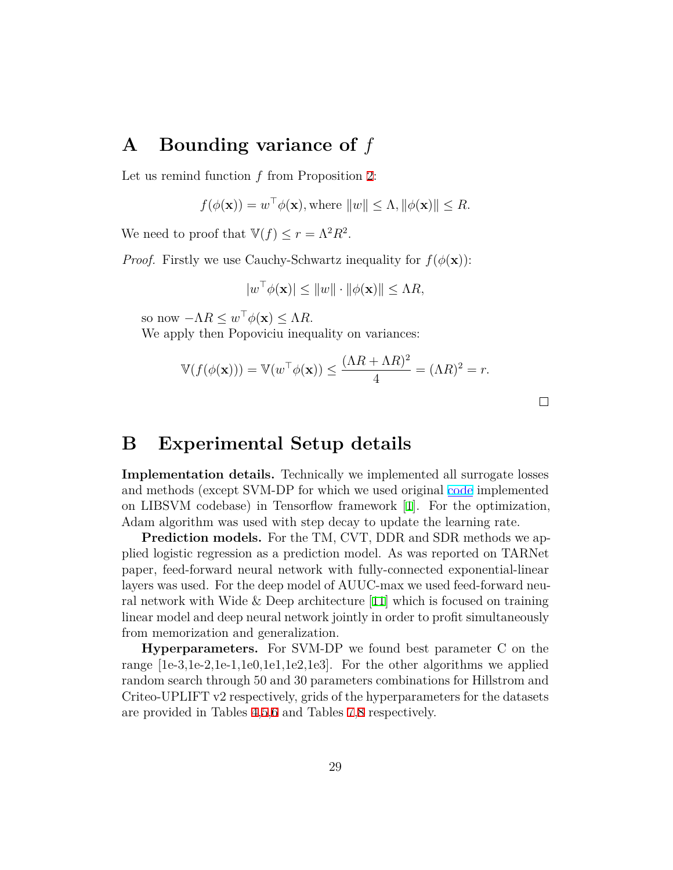## **A Bounding variance of** *f*

Let us remind function *f* from Proposition 2:

$$
f(\phi(\mathbf{x})) = w^{\top} \phi(\mathbf{x}), \text{ where } ||w|| \leq \Lambda, ||\phi(\mathbf{x})|| \leq R.
$$

We need to proof that  $\mathbb{V}(f) \leq r = \Lambda^2 R^2$ .

*Proof.* Firstly we use Cauchy-Schwartz inequality for  $f(\phi(\mathbf{x}))$ :

$$
|w^{\top} \phi(\mathbf{x})| \le ||w|| \cdot ||\phi(\mathbf{x})|| \le \Lambda R,
$$

so now  $-\Lambda R \leq w^{\top} \phi(\mathbf{x}) \leq \Lambda R$ .

We apply then Popoviciu inequality on variances:

$$
\mathbb{V}(f(\phi(\mathbf{x}))) = \mathbb{V}(w^{\top}\phi(\mathbf{x})) \le \frac{(\Lambda R + \Lambda R)^2}{4} = (\Lambda R)^2 = r.
$$

 $\Box$ 

## **B Experimental Setup details**

**Implementation details.** Technically we implemented all surrogate losses and methods (except SVM-DP for which we used original [code](https://ftp.cs.wisc.edu/machine-learning/shavlik-group/kuusisto.ecml14.svmuplcode.zip) implemented on LIBSVM codebase) in Tensorflow framework [1]. For the optimization, Adam algorithm was used with step decay to update the learning rate.

**Prediction models.** For the TM, CVT, DDR and SDR methods we applied logistic regression as a prediction model. As was reported on TARNet paper, feed-forward neural network with fully-connected exponential-linear layers was used. For the deep model of AUUC-max we used feed-forward neural network with Wide & Deep architecture [11] which is focused on training linear model and deep neural network jointly in order to profit simultaneously from memorization and generalization.

**Hyperparameters.** For SVM-DP we found best parameter C on the range [1e-3,1e-2,1e-1,1e0,1e1,1e2,1e3]. For the other algorithms we applied random search through 50 and 30 parameters combinations for Hillstrom and Criteo-UPLIFT v2 respectively, grids of the hyperparameters for the datasets are provided in Tables 4,5,6 and Tables 7,8 respectively.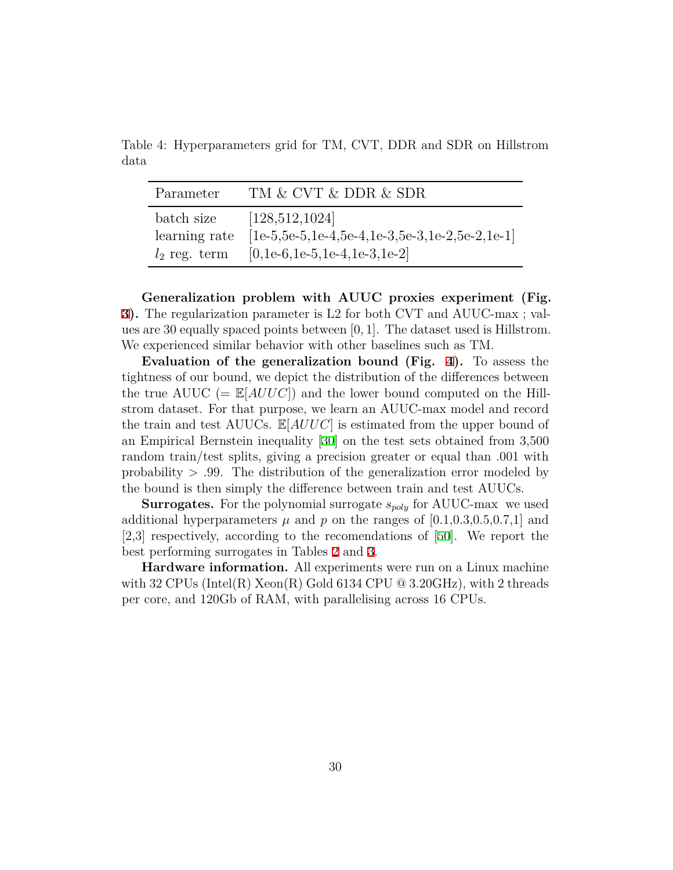Table 4: Hyperparameters grid for TM, CVT, DDR and SDR on Hillstrom data

| Parameter       | TM & CVT & DDR & SDR                                     |
|-----------------|----------------------------------------------------------|
| batch size      | [128, 512, 1024]                                         |
| learning rate   | $[1e-5, 5e-5, 1e-4, 5e-4, 1e-3, 5e-3, 1e-2, 5e-2, 1e-1]$ |
| $l_2$ reg. term | $[0,1e-6,1e-5,1e-4,1e-3,1e-2]$                           |

**Generalization problem with AUUC proxies experiment (Fig. 3).** The regularization parameter is L2 for both CVT and AUUC-max ; values are 30 equally spaced points between [0*,* 1]. The dataset used is Hillstrom. We experienced similar behavior with other baselines such as TM.

**Evaluation of the generalization bound (Fig. 4).** To assess the tightness of our bound, we depict the distribution of the differences between the true AUUC (=  $\mathbb{E}[AUC]$ ) and the lower bound computed on the Hillstrom dataset. For that purpose, we learn an AUUC-max model and record the train and test AUUCs. E[*AUUC*] is estimated from the upper bound of an Empirical Bernstein inequality [30] on the test sets obtained from 3,500 random train/test splits, giving a precision greater or equal than *.*001 with probability *> .*99. The distribution of the generalization error modeled by the bound is then simply the difference between train and test AUUCs.

**Surrogates.** For the polynomial surrogate *spoly* for AUUC-max we used additional hyperparameters  $\mu$  and  $p$  on the ranges of [0.1,0.3,0.5,0.7,1] and [2,3] respectively, according to the recomendations of [50]. We report the best performing surrogates in Tables 2 and 3.

**Hardware information.** All experiments were run on a Linux machine with 32 CPUs (Intel(R) Xeon(R) Gold 6134 CPU  $@$  3.20GHz), with 2 threads per core, and 120Gb of RAM, with parallelising across 16 CPUs.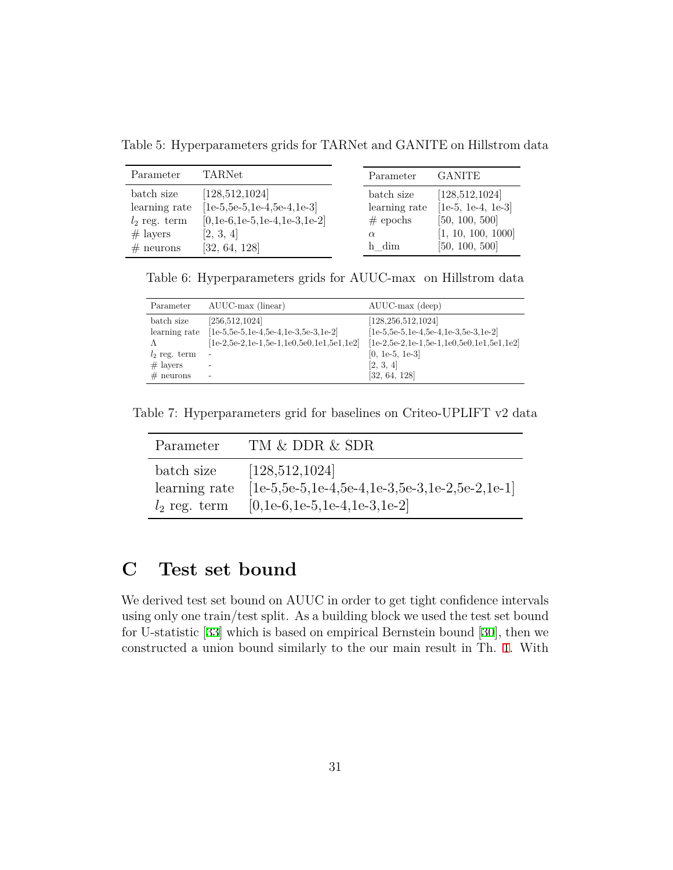Table 5: Hyperparameters grids for TARNet and GANITE on Hillstrom data

| Parameter       | TARNet                           | Parameter     | <b>GANITE</b>        |
|-----------------|----------------------------------|---------------|----------------------|
| batch size      | [128, 512, 1024]                 | batch size    | [128, 512, 1024]     |
| learning rate   | $[1e-5, 5e-5, 1e-4, 5e-4, 1e-3]$ | learning rate | $[1e-5, 1e-4, 1e-3]$ |
| $l_2$ reg. term | $[0,1e-6,1e-5,1e-4,1e-3,1e-2]$   | $#$ epochs    | [50, 100, 500]       |
| $#$ layers      | [2, 3, 4]                        | $\alpha$      | [1, 10, 100, 1000]   |
| $#$ neurons     | [32, 64, 128]                    | h dim         | [50, 100, 500]       |

Table 6: Hyperparameters grids for AUUC-max on Hillstrom data

| Parameter       | AUUC-max (linear)                                   | $AUUC$ -max $(deep)$                                |
|-----------------|-----------------------------------------------------|-----------------------------------------------------|
| batch size      | [256, 512, 1024]                                    | [128, 256, 512, 1024]                               |
| learning rate   | $[1e-5, 5e-5, 1e-4, 5e-4, 1e-3, 5e-3, 1e-2]$        | $[1e-5, 5e-5, 1e-4, 5e-4, 1e-3, 5e-3, 1e-2]$        |
| Λ               | $[1e-2, 5e-2, 1e-1, 5e-1, 1e0, 5e0, 1e1, 5e1, 1e2]$ | $[1e-2, 5e-2, 1e-1, 5e-1, 1e0, 5e0, 1e1, 5e1, 1e2]$ |
| $l_2$ reg. term | $\overline{a}$                                      | $[0, 1e-5, 1e-3]$                                   |
| $#$ layers      |                                                     | [2, 3, 4]                                           |
| $#$ neurons     | $\qquad \qquad -$                                   | [32, 64, 128]                                       |

Table 7: Hyperparameters grid for baselines on Criteo-UPLIFT v2 data

| Parameter                   | TM & DDR & SDR                                                               |
|-----------------------------|------------------------------------------------------------------------------|
| batch size<br>learning rate | [128, 512, 1024]<br>$[1e-5, 5e-5, 1e-4, 5e-4, 1e-3, 5e-3, 1e-2, 5e-2, 1e-1]$ |
| $l_2$ reg. term             | $[0,1e-6,1e-5,1e-4,1e-3,1e-2]$                                               |

## **C Test set bound**

We derived test set bound on AUUC in order to get tight confidence intervals using only one train/test split. As a building block we used the test set bound for U-statistic [33] which is based on empirical Bernstein bound [30], then we constructed a union bound similarly to the our main result in Th. 1. With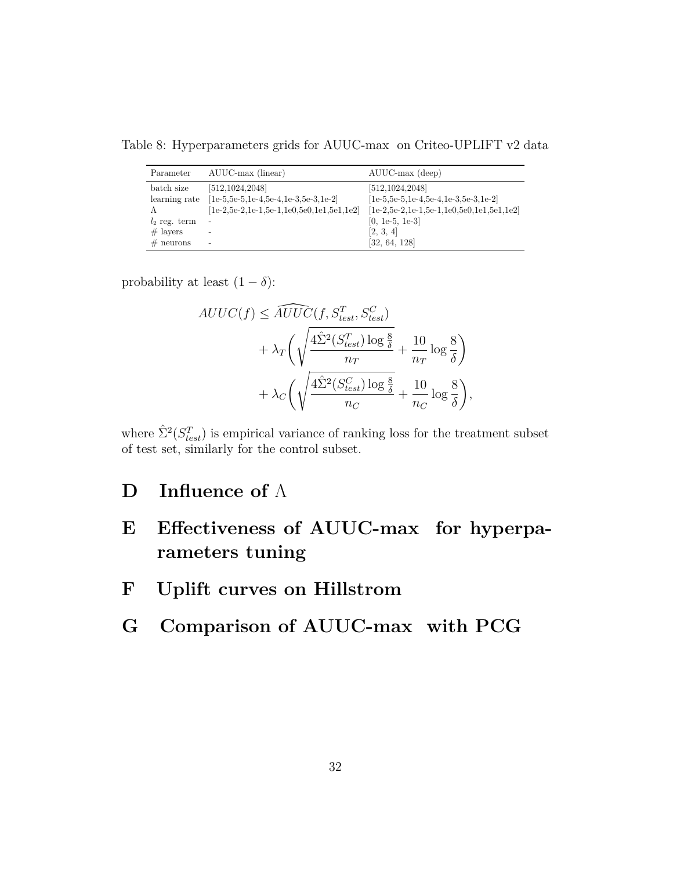Table 8: Hyperparameters grids for AUUC-max on Criteo-UPLIFT v2 data

| Parameter       | AUUC-max (linear)                            | $\mathrm{AUUC\text{-}max}$ (deep)           |
|-----------------|----------------------------------------------|---------------------------------------------|
| batch size      | [512, 1024, 2048]                            | [512, 1024, 2048]                           |
| learning rate   | $[1e-5, 5e-5, 1e-4, 5e-4, 1e-3, 5e-3, 1e-2]$ | [1e-5,5e-5,1e-4,5e-4,1e-3,5e-3,1e-2]        |
|                 | 1e-2,5e-2,1e-1,5e-1,1e0,5e0,1e1,5e1,1e2      | $[1e-2,5e-2,1e-1,5e-1,1e0,5e0,1e1,5e1,1e2]$ |
| $l_2$ reg. term | $\overline{\phantom{0}}$                     | $[0, 1e-5, 1e-3]$                           |
| $#$ layers      |                                              | [2, 3, 4]                                   |
| $#$ neurons     | $\overline{\phantom{a}}$                     | [32, 64, 128]                               |

probability at least  $(1 - \delta)$ :

$$
AUUC(f) \leq \widehat{AUUC}(f, S_{test}^T, S_{test}^C)
$$
  
+  $\lambda_T \left( \sqrt{\frac{4\hat{\Sigma}^2 (S_{test}^T) \log \frac{8}{\delta}}{n_T}} + \frac{10}{n_T} \log \frac{8}{\delta} \right)$   
+  $\lambda_C \left( \sqrt{\frac{4\hat{\Sigma}^2 (S_{test}^C) \log \frac{8}{\delta}}{n_C}} + \frac{10}{n_C} \log \frac{8}{\delta} \right),$ 

where  $\hat{\Sigma}^2(S_{test}^T)$  is empirical variance of ranking loss for the treatment subset of test set, similarly for the control subset.

- **D Influence of** Λ
- **E Effectiveness of AUUC-max for hyperparameters tuning**
- **F Uplift curves on Hillstrom**
- **G Comparison of AUUC-max with PCG**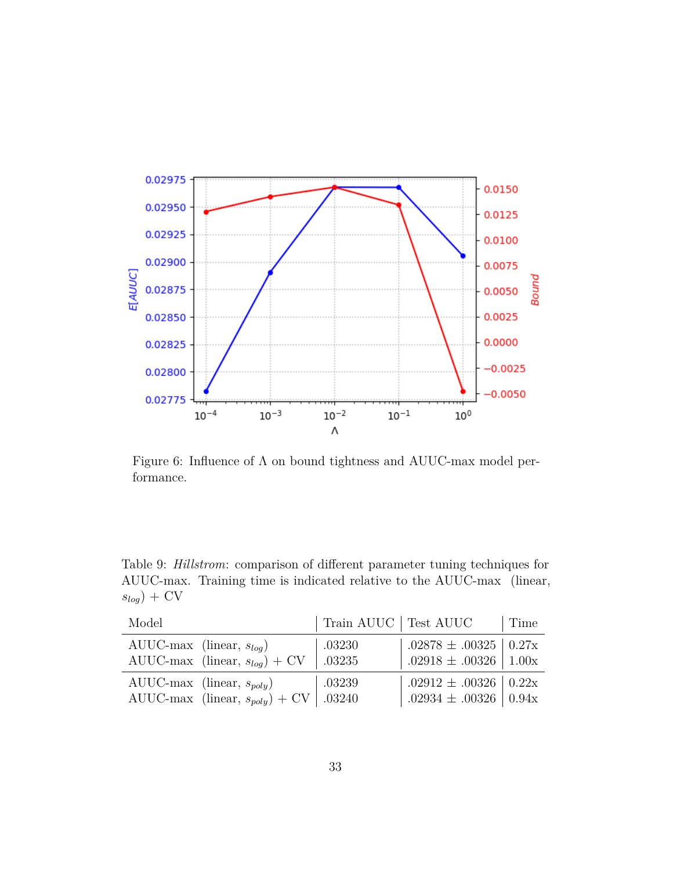

Figure 6: Influence of Λ on bound tightness and AUUC-max model performance.

Table 9: *Hillstrom*: comparison of different parameter tuning techniques for AUUC-max. Training time is indicated relative to the AUUC-max (linear,  $s_{log}$ ) + CV

| Model                               | $\,$ Train AUUC $\,$ Test AUUC $\,$ |                             | Time |
|-------------------------------------|-------------------------------------|-----------------------------|------|
| AUUC-max (linear, $s_{log}$ )       | .03230                              | .02878 $\pm$ .00325   0.27x |      |
| AUUC-max (linear, $s_{log}$ ) + CV  | .03235                              | .02918 $\pm$ .00326   1.00x |      |
| AUUC-max (linear, $s_{poly}$ )      | .03239                              | .02912 $\pm$ .00326   0.22x |      |
| AUUC-max (linear, $s_{poly}$ ) + CV | .03240                              | .02934 $\pm$ .00326   0.94x |      |